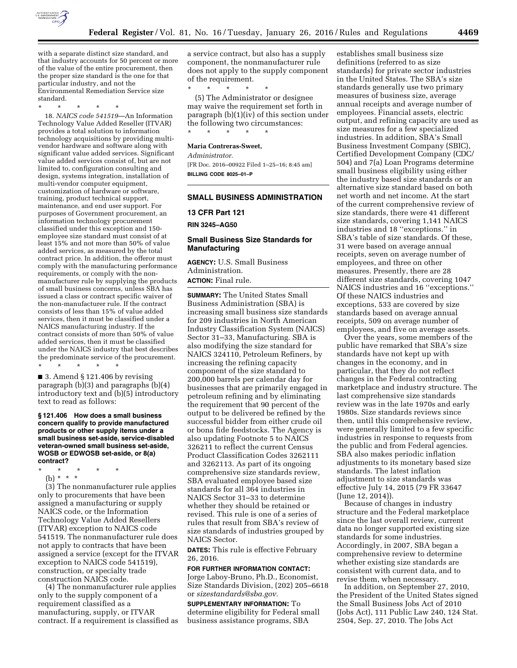

with a separate distinct size standard, and that industry accounts for 50 percent or more of the value of the entire procurement, then the proper size standard is the one for that particular industry, and not the Environmental Remediation Service size standard.

\* \* \* \* \*

18. *NAICS code 541519*—An Information Technology Value Added Reseller (ITVAR) provides a total solution to information technology acquisitions by providing multivendor hardware and software along with significant value added services. Significant value added services consist of, but are not limited to, configuration consulting and design, systems integration, installation of multi-vendor computer equipment, customization of hardware or software, training, product technical support, maintenance, and end user support. For purposes of Government procurement, an information technology procurement classified under this exception and 150 employee size standard must consist of at least 15% and not more than 50% of value added services, as measured by the total contract price. In addition, the offeror must comply with the manufacturing performance requirements, or comply with the nonmanufacturer rule by supplying the products of small business concerns, unless SBA has issued a class or contract specific waiver of the non-manufacturer rule. If the contract consists of less than 15% of value added services, then it must be classified under a NAICS manufacturing industry. If the contract consists of more than 50% of value added services, then it must be classified under the NAICS industry that best describes the predominate service of the procurement.

\* \* \* \* \*

■ 3. Amend § 121.406 by revising paragraph (b)(3) and paragraphs (b)(4) introductory text and (b)(5) introductory text to read as follows:

#### **§ 121.406 How does a small business concern qualify to provide manufactured products or other supply items under a small business set-aside, service-disabled veteran-owned small business set-aside, WOSB or EDWOSB set-aside, or 8(a) contract?**

- \* \* \* \* \*
	- (b) \* \* \*

(3) The nonmanufacturer rule applies only to procurements that have been assigned a manufacturing or supply NAICS code, or the Information Technology Value Added Resellers (ITVAR) exception to NAICS code 541519. The nonmanufacturer rule does not apply to contracts that have been assigned a service (except for the ITVAR exception to NAICS code 541519), construction, or specialty trade construction NAICS code.

(4) The nonmanufacturer rule applies only to the supply component of a requirement classified as a manufacturing, supply, or ITVAR contract. If a requirement is classified as a service contract, but also has a supply component, the nonmanufacturer rule does not apply to the supply component of the requirement.

\* \* \* \* \* (5) The Administrator or designee may waive the requirement set forth in paragraph (b)(1)(iv) of this section under the following two circumstances: \* \* \* \* \*

**Maria Contreras-Sweet,** 

*Administrator.* 

[FR Doc. 2016–00922 Filed 1–25–16; 8:45 am] **BILLING CODE 8025–01–P** 

### **SMALL BUSINESS ADMINISTRATION**

### **13 CFR Part 121**

**RIN 3245–AG50** 

## **Small Business Size Standards for Manufacturing**

**AGENCY:** U.S. Small Business Administration. **ACTION:** Final rule.

**SUMMARY:** The United States Small Business Administration (SBA) is increasing small business size standards for 209 industries in North American Industry Classification System (NAICS) Sector 31–33, Manufacturing. SBA is also modifying the size standard for NAICS 324110, Petroleum Refiners, by increasing the refining capacity component of the size standard to 200,000 barrels per calendar day for businesses that are primarily engaged in petroleum refining and by eliminating the requirement that 90 percent of the output to be delivered be refined by the successful bidder from either crude oil or bona fide feedstocks. The Agency is also updating Footnote 5 to NAICS 326211 to reflect the current Census Product Classification Codes 3262111 and 3262113. As part of its ongoing comprehensive size standards review, SBA evaluated employee based size standards for all 364 industries in NAICS Sector 31–33 to determine whether they should be retained or revised. This rule is one of a series of rules that result from SBA's review of size standards of industries grouped by NAICS Sector.

**DATES:** This rule is effective February 26, 2016.

**FOR FURTHER INFORMATION CONTACT:**  Jorge Laboy-Bruno, Ph.D., Economist, Size Standards Division, (202) 205–6618 or *[sizestandards@sba.gov.](mailto:sizestandards@sba.gov)* 

**SUPPLEMENTARY INFORMATION:** To determine eligibility for Federal small business assistance programs, SBA

establishes small business size definitions (referred to as size standards) for private sector industries in the United States. The SBA's size standards generally use two primary measures of business size, average annual receipts and average number of employees. Financial assets, electric output, and refining capacity are used as size measures for a few specialized industries. In addition, SBA's Small Business Investment Company (SBIC), Certified Development Company (CDC/ 504) and 7(a) Loan Programs determine small business eligibility using either the industry based size standards or an alternative size standard based on both net worth and net income. At the start of the current comprehensive review of size standards, there were 41 different size standards, covering 1,141 NAICS industries and 18 ''exceptions.'' in SBA's table of size standards. Of these, 31 were based on average annual receipts, seven on average number of employees, and three on other measures. Presently, there are 28 different size standards, covering 1047 NAICS industries and 16 ''exceptions.'' Of these NAICS industries and exceptions, 533 are covered by size standards based on average annual receipts, 509 on average number of employees, and five on average assets.

Over the years, some members of the public have remarked that SBA's size standards have not kept up with changes in the economy, and in particular, that they do not reflect changes in the Federal contracting marketplace and industry structure. The last comprehensive size standards review was in the late 1970s and early 1980s. Size standards reviews since then, until this comprehensive review, were generally limited to a few specific industries in response to requests from the public and from Federal agencies. SBA also makes periodic inflation adjustments to its monetary based size standards. The latest inflation adjustment to size standards was effective July 14, 2015 (79 FR 33647 (June 12, 2014)).

Because of changes in industry structure and the Federal marketplace since the last overall review, current data no longer supported existing size standards for some industries. Accordingly, in 2007, SBA began a comprehensive review to determine whether existing size standards are consistent with current data, and to revise them, when necessary.

In addition, on September 27, 2010, the President of the United States signed the Small Business Jobs Act of 2010 (Jobs Act), 111 Public Law 240, 124 Stat. 2504, Sep. 27, 2010. The Jobs Act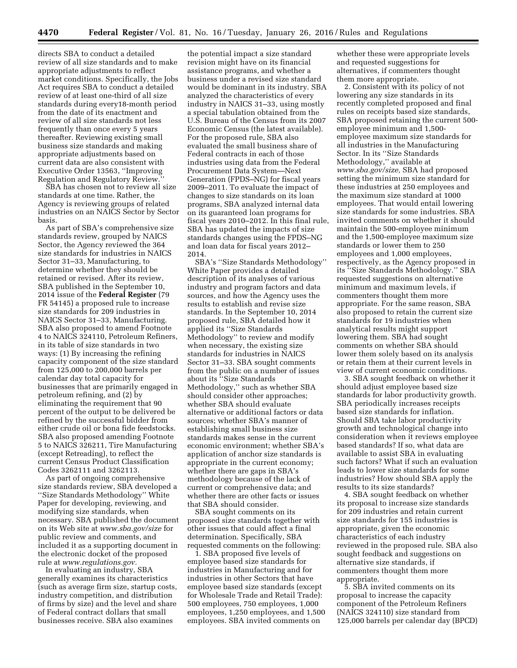directs SBA to conduct a detailed review of all size standards and to make appropriate adjustments to reflect market conditions. Specifically, the Jobs Act requires SBA to conduct a detailed review of at least one-third of all size standards during every18-month period from the date of its enactment and review of all size standards not less frequently than once every 5 years thereafter. Reviewing existing small business size standards and making appropriate adjustments based on current data are also consistent with Executive Order 13563, ''Improving Regulation and Regulatory Review.

SBA has chosen not to review all size standards at one time. Rather, the Agency is reviewing groups of related industries on an NAICS Sector by Sector basis.

As part of SBA's comprehensive size standards review, grouped by NAICS Sector, the Agency reviewed the 364 size standards for industries in NAICS Sector 31–33, Manufacturing, to determine whether they should be retained or revised. After its review, SBA published in the September 10, 2014 issue of the **Federal Register** (79 FR 54145) a proposed rule to increase size standards for 209 industries in NAICS Sector 31–33, Manufacturing. SBA also proposed to amend Footnote 4 to NAICS 324110, Petroleum Refiners, in its table of size standards in two ways: (1) By increasing the refining capacity component of the size standard from 125,000 to 200,000 barrels per calendar day total capacity for businesses that are primarily engaged in petroleum refining, and (2) by eliminating the requirement that 90 percent of the output to be delivered be refined by the successful bidder from either crude oil or bona fide feedstocks. SBA also proposed amending Footnote 5 to NAICS 326211, Tire Manufacturing (except Retreading), to reflect the current Census Product Classification Codes 3262111 and 3262113.

As part of ongoing comprehensive size standards review, SBA developed a ''Size Standards Methodology'' White Paper for developing, reviewing, and modifying size standards, when necessary. SBA published the document on its Web site at *[www.sba.gov/size](http://www.sba.gov/size)* for public review and comments, and included it as a supporting document in the electronic docket of the proposed rule at *[www.regulations.gov.](http://www.regulations.gov)* 

In evaluating an industry, SBA generally examines its characteristics (such as average firm size, startup costs, industry competition, and distribution of firms by size) and the level and share of Federal contract dollars that small businesses receive. SBA also examines

the potential impact a size standard revision might have on its financial assistance programs, and whether a business under a revised size standard would be dominant in its industry. SBA analyzed the characteristics of every industry in NAICS 31–33, using mostly a special tabulation obtained from the U.S. Bureau of the Census from its 2007 Economic Census (the latest available). For the proposed rule, SBA also evaluated the small business share of Federal contracts in each of those industries using data from the Federal Procurement Data System—Next Generation (FPDS–NG) for fiscal years 2009–2011. To evaluate the impact of changes to size standards on its loan programs, SBA analyzed internal data on its guaranteed loan programs for fiscal years 2010–2012. In this final rule, SBA has updated the impacts of size standards changes using the FPDS–NG and loan data for fiscal years 2012– 2014.

SBA's ''Size Standards Methodology'' White Paper provides a detailed description of its analyses of various industry and program factors and data sources, and how the Agency uses the results to establish and revise size standards. In the September 10, 2014 proposed rule, SBA detailed how it applied its ''Size Standards Methodology'' to review and modify when necessary, the existing size standards for industries in NAICS Sector 31–33. SBA sought comments from the public on a number of issues about its ''Size Standards Methodology,'' such as whether SBA should consider other approaches; whether SBA should evaluate alternative or additional factors or data sources; whether SBA's manner of establishing small business size standards makes sense in the current economic environment; whether SBA's application of anchor size standards is appropriate in the current economy; whether there are gaps in SBA's methodology because of the lack of current or comprehensive data; and whether there are other facts or issues that SBA should consider.

SBA sought comments on its proposed size standards together with other issues that could affect a final determination. Specifically, SBA requested comments on the following:

1. SBA proposed five levels of employee based size standards for industries in Manufacturing and for industries in other Sectors that have employee based size standards (except for Wholesale Trade and Retail Trade): 500 employees, 750 employees, 1,000 employees, 1,250 employees, and 1,500 employees. SBA invited comments on

whether these were appropriate levels and requested suggestions for alternatives, if commenters thought them more appropriate.

2. Consistent with its policy of not lowering any size standards in its recently completed proposed and final rules on receipts based size standards, SBA proposed retaining the current 500 employee minimum and 1,500 employee maximum size standards for all industries in the Manufacturing Sector. In its ''Size Standards Methodology,'' available at *[www.sba.gov/size,](http://www.sba.gov/size)* SBA had proposed setting the minimum size standard for these industries at 250 employees and the maximum size standard at 1000 employees. That would entail lowering size standards for some industries. SBA invited comments on whether it should maintain the 500-employee minimum and the 1,500-employee maximum size standards or lower them to 250 employees and 1,000 employees, respectively, as the Agency proposed in its ''Size Standards Methodology.'' SBA requested suggestions on alternative minimum and maximum levels, if commenters thought them more appropriate. For the same reason, SBA also proposed to retain the current size standards for 19 industries when analytical results might support lowering them. SBA had sought comments on whether SBA should lower them solely based on its analysis or retain them at their current levels in view of current economic conditions.

3. SBA sought feedback on whether it should adjust employee based size standards for labor productivity growth. SBA periodically increases receipts based size standards for inflation. Should SBA take labor productivity growth and technological change into consideration when it reviews employee based standards? If so, what data are available to assist SBA in evaluating such factors? What if such an evaluation leads to lower size standards for some industries? How should SBA apply the results to its size standards?

4. SBA sought feedback on whether its proposal to increase size standards for 209 industries and retain current size standards for 155 industries is appropriate, given the economic characteristics of each industry reviewed in the proposed rule. SBA also sought feedback and suggestions on alternative size standards, if commenters thought them more appropriate.

5. SBA invited comments on its proposal to increase the capacity component of the Petroleum Refiners (NAICS 324110) size standard from 125,000 barrels per calendar day (BPCD)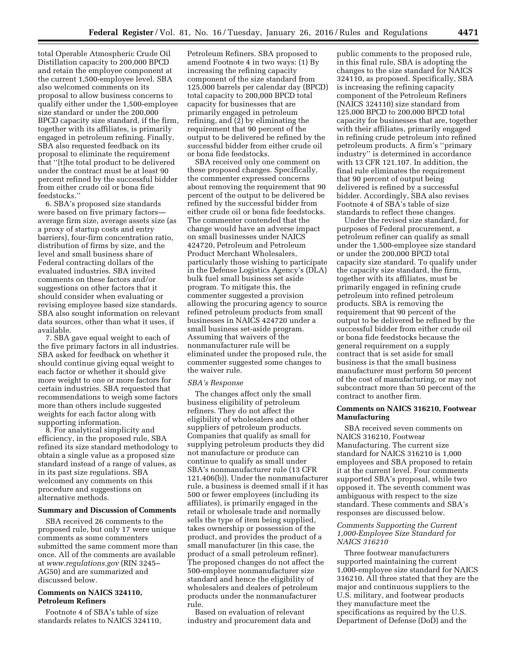total Operable Atmospheric Crude Oil Distillation capacity to 200,000 BPCD and retain the employee component at the current 1,500-employee level. SBA also welcomed comments on its proposal to allow business concerns to qualify either under the 1,500-employee size standard or under the 200,000 BPCD capacity size standard, if the firm, together with its affiliates, is primarily engaged in petroleum refining. Finally, SBA also requested feedback on its proposal to eliminate the requirement that ''[t]he total product to be delivered under the contract must be at least 90 percent refined by the successful bidder from either crude oil or bona fide feedstocks.''

6. SBA's proposed size standards were based on five primary factorsaverage firm size, average assets size (as a proxy of startup costs and entry barriers), four-firm concentration ratio, distribution of firms by size, and the level and small business share of Federal contracting dollars of the evaluated industries. SBA invited comments on these factors and/or suggestions on other factors that it should consider when evaluating or revising employee based size standards. SBA also sought information on relevant data sources, other than what it uses, if available.

7. SBA gave equal weight to each of the five primary factors in all industries. SBA asked for feedback on whether it should continue giving equal weight to each factor or whether it should give more weight to one or more factors for certain industries. SBA requested that recommendations to weigh some factors more than others include suggested weights for each factor along with supporting information.

8. For analytical simplicity and efficiency, in the proposed rule, SBA refined its size standard methodology to obtain a single value as a proposed size standard instead of a range of values, as in its past size regulations. SBA welcomed any comments on this procedure and suggestions on alternative methods.

## **Summary and Discussion of Comments**

SBA received 26 comments to the proposed rule, but only 17 were unique comments as some commenters submitted the same comment more than once. All of the comments are available at *[www.regulations.gov](http://www.regulations.gov)* (RIN 3245– AG50) and are summarized and discussed below.

## **Comments on NAICS 324110, Petroleum Refiners**

Footnote 4 of SBA's table of size standards relates to NAICS 324110,

Petroleum Refiners. SBA proposed to amend Footnote 4 in two ways: (1) By increasing the refining capacity component of the size standard from 125,000 barrels per calendar day (BPCD) total capacity to 200,000 BPCD total capacity for businesses that are primarily engaged in petroleum refining, and (2) by eliminating the requirement that 90 percent of the output to be delivered be refined by the successful bidder from either crude oil or bona fide feedstocks.

SBA received only one comment on these proposed changes. Specifically, the commenter expressed concerns about removing the requirement that 90 percent of the output to be delivered be refined by the successful bidder from either crude oil or bona fide feedstocks. The commenter contended that the change would have an adverse impact on small businesses under NAICS 424720, Petroleum and Petroleum Product Merchant Wholesalers, particularly those wishing to participate in the Defense Logistics Agency's (DLA) bulk fuel small business set aside program. To mitigate this, the commenter suggested a provision allowing the procuring agency to source refined petroleum products from small businesses in NAICS 424720 under a small business set-aside program. Assuming that waivers of the nonmanufacturer rule will be eliminated under the proposed rule, the commenter suggested some changes to the waiver rule.

#### *SBA's Response*

The changes affect only the small business eligibility of petroleum refiners. They do not affect the eligibility of wholesalers and other suppliers of petroleum products. Companies that qualify as small for supplying petroleum products they did not manufacture or produce can continue to qualify as small under SBA's nonmanufacturer rule (13 CFR 121.406(b)). Under the nonmanufacturer rule, a business is deemed small if it has 500 or fewer employees (including its affiliates), is primarily engaged in the retail or wholesale trade and normally sells the type of item being supplied, takes ownership or possession of the product, and provides the product of a small manufacturer (in this case, the product of a small petroleum refiner). The proposed changes do not affect the 500-employee nonmanufacturer size standard and hence the eligibility of wholesalers and dealers of petroleum products under the nonmanufacturer rule.

Based on evaluation of relevant industry and procurement data and

public comments to the proposed rule, in this final rule, SBA is adopting the changes to the size standard for NAICS 324110, as proposed. Specifically, SBA is increasing the refining capacity component of the Petroleum Refiners (NAICS 324110) size standard from 125,000 BPCD to 200,000 BPCD total capacity for businesses that are, together with their affiliates, primarily engaged in refining crude petroleum into refined petroleum products. A firm's ''primary industry'' is determined in accordance with 13 CFR 121.107. In addition, the final rule eliminates the requirement that 90 percent of output being delivered is refined by a successful bidder. Accordingly, SBA also revises Footnote 4 of SBA's table of size standards to reflect these changes.

Under the revised size standard, for purposes of Federal procurement, a petroleum refiner can qualify as small under the 1,500-employee size standard or under the 200,000 BPCD total capacity size standard. To qualify under the capacity size standard, the firm, together with its affiliates, must be primarily engaged in refining crude petroleum into refined petroleum products. SBA is removing the requirement that 90 percent of the output to be delivered be refined by the successful bidder from either crude oil or bona fide feedstocks because the general requirement on a supply contract that is set aside for small business is that the small business manufacturer must perform 50 percent of the cost of manufacturing, or may not subcontract more than 50 percent of the contract to another firm.

## **Comments on NAICS 316210, Footwear Manufacturing**

SBA received seven comments on NAICS 316210, Footwear Manufacturing. The current size standard for NAICS 316210 is 1,000 employees and SBA proposed to retain it at the current level. Four comments supported SBA's proposal, while two opposed it. The seventh comment was ambiguous with respect to the size standard. These comments and SBA's responses are discussed below.

## *Comments Supporting the Current 1,000-Employee Size Standard for NAICS 316210*

Three footwear manufacturers supported maintaining the current 1,000-employee size standard for NAICS 316210. All three stated that they are the major and continuous suppliers to the U.S. military, and footwear products they manufacture meet the specifications as required by the U.S. Department of Defense (DoD) and the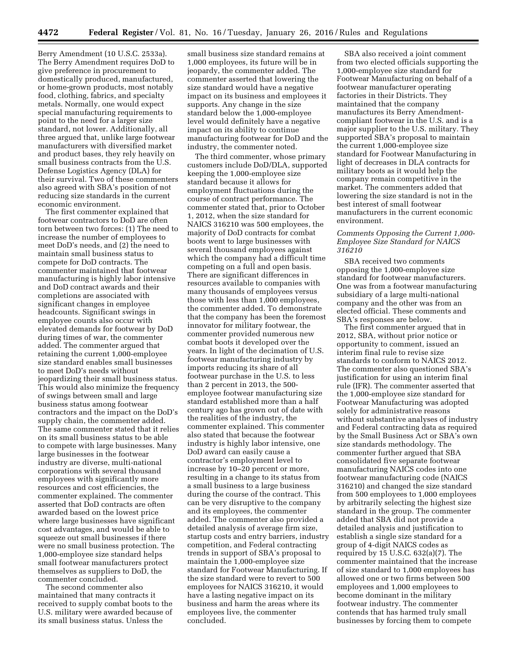Berry Amendment (10 U.S.C. 2533a). The Berry Amendment requires DoD to give preference in procurement to domestically produced, manufactured, or home-grown products, most notably food, clothing, fabrics, and specialty metals. Normally, one would expect special manufacturing requirements to point to the need for a larger size standard, not lower. Additionally, all three argued that, unlike large footwear manufacturers with diversified market and product bases, they rely heavily on small business contracts from the U.S. Defense Logistics Agency (DLA) for their survival. Two of these commenters also agreed with SBA's position of not reducing size standards in the current economic environment.

The first commenter explained that footwear contractors to DoD are often torn between two forces: (1) The need to increase the number of employees to meet DoD's needs, and (2) the need to maintain small business status to compete for DoD contracts. The commenter maintained that footwear manufacturing is highly labor intensive and DoD contract awards and their completions are associated with significant changes in employee headcounts. Significant swings in employee counts also occur with elevated demands for footwear by DoD during times of war, the commenter added. The commenter argued that retaining the current 1,000-employee size standard enables small businesses to meet DoD's needs without jeopardizing their small business status. This would also minimize the frequency of swings between small and large business status among footwear contractors and the impact on the DoD's supply chain, the commenter added. The same commenter stated that it relies on its small business status to be able to compete with large businesses. Many large businesses in the footwear industry are diverse, multi-national corporations with several thousand employees with significantly more resources and cost efficiencies, the commenter explained. The commenter asserted that DoD contracts are often awarded based on the lowest price where large businesses have significant cost advantages, and would be able to squeeze out small businesses if there were no small business protection. The 1,000-employee size standard helps small footwear manufacturers protect themselves as suppliers to DoD, the commenter concluded.

The second commenter also maintained that many contracts it received to supply combat boots to the U.S. military were awarded because of its small business status. Unless the

small business size standard remains at 1,000 employees, its future will be in jeopardy, the commenter added. The commenter asserted that lowering the size standard would have a negative impact on its business and employees it supports. Any change in the size standard below the 1,000-employee level would definitely have a negative impact on its ability to continue manufacturing footwear for DoD and the industry, the commenter noted.

The third commenter, whose primary customers include DoD/DLA, supported keeping the 1,000-employee size standard because it allows for employment fluctuations during the course of contract performance. The commenter stated that, prior to October 1, 2012, when the size standard for NAICS 316210 was 500 employees, the majority of DoD contracts for combat boots went to large businesses with several thousand employees against which the company had a difficult time competing on a full and open basis. There are significant differences in resources available to companies with many thousands of employees versus those with less than 1,000 employees, the commenter added. To demonstrate that the company has been the foremost innovator for military footwear, the commenter provided numerous new combat boots it developed over the years. In light of the decimation of U.S. footwear manufacturing industry by imports reducing its share of all footwear purchase in the U.S. to less than 2 percent in 2013, the 500 employee footwear manufacturing size standard established more than a half century ago has grown out of date with the realities of the industry, the commenter explained. This commenter also stated that because the footwear industry is highly labor intensive, one DoD award can easily cause a contractor's employment level to increase by 10–20 percent or more, resulting in a change to its status from a small business to a large business during the course of the contract. This can be very disruptive to the company and its employees, the commenter added. The commenter also provided a detailed analysis of average firm size, startup costs and entry barriers, industry competition, and Federal contracting trends in support of SBA's proposal to maintain the 1,000-employee size standard for Footwear Manufacturing. If the size standard were to revert to 500 employees for NAICS 316210, it would have a lasting negative impact on its business and harm the areas where its employees live, the commenter concluded.

SBA also received a joint comment from two elected officials supporting the 1,000-employee size standard for Footwear Manufacturing on behalf of a footwear manufacturer operating factories in their Districts. They maintained that the company manufactures its Berry Amendmentcompliant footwear in the U.S. and is a major supplier to the U.S. military. They supported SBA's proposal to maintain the current 1,000-employee size standard for Footwear Manufacturing in light of decreases in DLA contracts for military boots as it would help the company remain competitive in the market. The commenters added that lowering the size standard is not in the best interest of small footwear manufacturers in the current economic environment.

## *Comments Opposing the Current 1,000- Employee Size Standard for NAICS 316210*

SBA received two comments opposing the 1,000-employee size standard for footwear manufacturers. One was from a footwear manufacturing subsidiary of a large multi-national company and the other was from an elected official. These comments and SBA's responses are below.

The first commenter argued that in 2012, SBA, without prior notice or opportunity to comment, issued an interim final rule to revise size standards to conform to NAICS 2012. The commenter also questioned SBA's justification for using an interim final rule (IFR). The commenter asserted that the 1,000-employee size standard for Footwear Manufacturing was adopted solely for administrative reasons without substantive analyses of industry and Federal contracting data as required by the Small Business Act or SBA's own size standards methodology. The commenter further argued that SBA consolidated five separate footwear manufacturing NAICS codes into one footwear manufacturing code (NAICS 316210) and changed the size standard from 500 employees to 1,000 employees by arbitrarily selecting the highest size standard in the group. The commenter added that SBA did not provide a detailed analysis and justification to establish a single size standard for a group of 4-digit NAICS codes as required by 15 U.S.C. 632(a)(7). The commenter maintained that the increase of size standard to 1,000 employees has allowed one or two firms between 500 employees and 1,000 employees to become dominant in the military footwear industry. The commenter contends that has harmed truly small businesses by forcing them to compete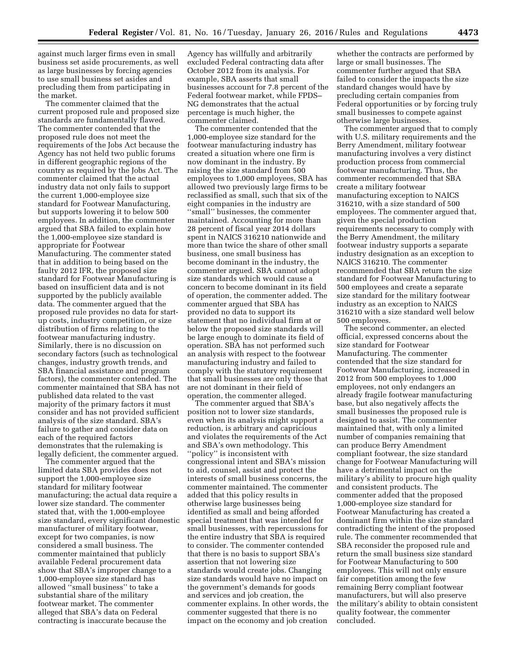against much larger firms even in small business set aside procurements, as well as large businesses by forcing agencies to use small business set asides and precluding them from participating in the market.

The commenter claimed that the current proposed rule and proposed size standards are fundamentally flawed. The commenter contended that the proposed rule does not meet the requirements of the Jobs Act because the Agency has not held two public forums in different geographic regions of the country as required by the Jobs Act. The commenter claimed that the actual industry data not only fails to support the current 1,000-employee size standard for Footwear Manufacturing, but supports lowering it to below 500 employees. In addition, the commenter argued that SBA failed to explain how the 1,000-employee size standard is appropriate for Footwear Manufacturing. The commenter stated that in addition to being based on the faulty 2012 IFR, the proposed size standard for Footwear Manufacturing is based on insufficient data and is not supported by the publicly available data. The commenter argued that the proposed rule provides no data for startup costs, industry competition, or size distribution of firms relating to the footwear manufacturing industry. Similarly, there is no discussion on secondary factors (such as technological changes, industry growth trends, and SBA financial assistance and program factors), the commenter contended. The commenter maintained that SBA has not published data related to the vast majority of the primary factors it must consider and has not provided sufficient analysis of the size standard. SBA's failure to gather and consider data on each of the required factors demonstrates that the rulemaking is legally deficient, the commenter argued.

The commenter argued that the limited data SBA provides does not support the 1,000-employee size standard for military footwear manufacturing; the actual data require a lower size standard. The commenter stated that, with the 1,000-employee size standard, every significant domestic manufacturer of military footwear, except for two companies, is now considered a small business. The commenter maintained that publicly available Federal procurement data show that SBA's improper change to a 1,000-employee size standard has allowed ''small business'' to take a substantial share of the military footwear market. The commenter alleged that SBA's data on Federal contracting is inaccurate because the

Agency has willfully and arbitrarily excluded Federal contracting data after October 2012 from its analysis. For example, SBA asserts that small businesses account for 7.8 percent of the Federal footwear market, while FPDS– NG demonstrates that the actual percentage is much higher, the commenter claimed.

The commenter contended that the 1,000-employee size standard for the footwear manufacturing industry has created a situation where one firm is now dominant in the industry. By raising the size standard from 500 employees to 1,000 employees, SBA has allowed two previously large firms to be reclassified as small, such that six of the eight companies in the industry are ''small'' businesses, the commenter maintained. Accounting for more than 28 percent of fiscal year 2014 dollars spent in NAICS 316210 nationwide and more than twice the share of other small business, one small business has become dominant in the industry, the commenter argued. SBA cannot adopt size standards which would cause a concern to become dominant in its field of operation, the commenter added. The commenter argued that SBA has provided no data to support its statement that no individual firm at or below the proposed size standards will be large enough to dominate its field of operation. SBA has not performed such an analysis with respect to the footwear manufacturing industry and failed to comply with the statutory requirement that small businesses are only those that are not dominant in their field of operation, the commenter alleged.

The commenter argued that SBA's position not to lower size standards, even when its analysis might support a reduction, is arbitrary and capricious and violates the requirements of the Act and SBA's own methodology. This ''policy'' is inconsistent with congressional intent and SBA's mission to aid, counsel, assist and protect the interests of small business concerns, the commenter maintained. The commenter added that this policy results in otherwise large businesses being identified as small and being afforded special treatment that was intended for small businesses, with repercussions for the entire industry that SBA is required to consider. The commenter contended that there is no basis to support SBA's assertion that not lowering size standards would create jobs. Changing size standards would have no impact on the government's demands for goods and services and job creation, the commenter explains. In other words, the commenter suggested that there is no impact on the economy and job creation

whether the contracts are performed by large or small businesses. The commenter further argued that SBA failed to consider the impacts the size standard changes would have by precluding certain companies from Federal opportunities or by forcing truly small businesses to compete against otherwise large businesses.

The commenter argued that to comply with U.S. military requirements and the Berry Amendment, military footwear manufacturing involves a very distinct production process from commercial footwear manufacturing. Thus, the commenter recommended that SBA create a military footwear manufacturing exception to NAICS 316210, with a size standard of 500 employees. The commenter argued that, given the special production requirements necessary to comply with the Berry Amendment, the military footwear industry supports a separate industry designation as an exception to NAICS 316210. The commenter recommended that SBA return the size standard for Footwear Manufacturing to 500 employees and create a separate size standard for the military footwear industry as an exception to NAICS 316210 with a size standard well below 500 employees.

The second commenter, an elected official, expressed concerns about the size standard for Footwear Manufacturing. The commenter contended that the size standard for Footwear Manufacturing, increased in 2012 from 500 employees to 1,000 employees, not only endangers an already fragile footwear manufacturing base, but also negatively affects the small businesses the proposed rule is designed to assist. The commenter maintained that, with only a limited number of companies remaining that can produce Berry Amendment compliant footwear, the size standard change for Footwear Manufacturing will have a detrimental impact on the military's ability to procure high quality and consistent products. The commenter added that the proposed 1,000-employee size standard for Footwear Manufacturing has created a dominant firm within the size standard contradicting the intent of the proposed rule. The commenter recommended that SBA reconsider the proposed rule and return the small business size standard for Footwear Manufacturing to 500 employees. This will not only ensure fair competition among the few remaining Berry compliant footwear manufacturers, but will also preserve the military's ability to obtain consistent quality footwear, the commenter concluded.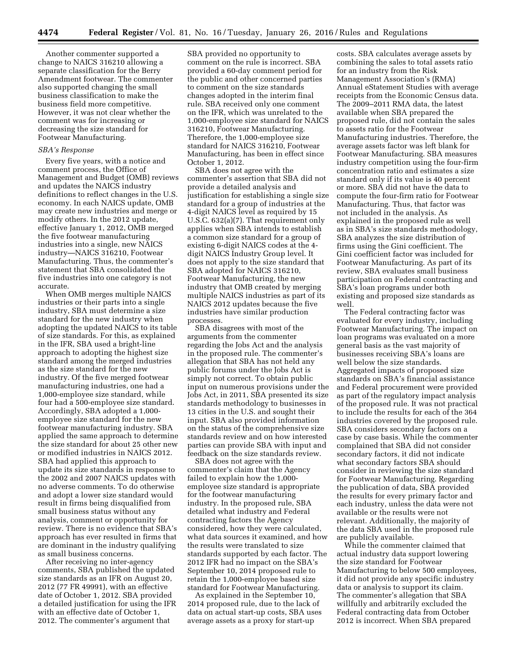Another commenter supported a change to NAICS 316210 allowing a separate classification for the Berry Amendment footwear. The commenter also supported changing the small business classification to make the business field more competitive. However, it was not clear whether the comment was for increasing or decreasing the size standard for Footwear Manufacturing.

#### *SBA's Response*

Every five years, with a notice and comment process, the Office of Management and Budget (OMB) reviews and updates the NAICS industry definitions to reflect changes in the U.S. economy. In each NAICS update, OMB may create new industries and merge or modify others. In the 2012 update, effective January 1, 2012, OMB merged the five footwear manufacturing industries into a single, new NAICS industry—NAICS 316210, Footwear Manufacturing. Thus, the commenter's statement that SBA consolidated the five industries into one category is not accurate.

When OMB merges multiple NAICS industries or their parts into a single industry, SBA must determine a size standard for the new industry when adopting the updated NAICS to its table of size standards. For this, as explained in the IFR, SBA used a bright-line approach to adopting the highest size standard among the merged industries as the size standard for the new industry. Of the five merged footwear manufacturing industries, one had a 1,000-employee size standard, while four had a 500-employee size standard. Accordingly, SBA adopted a 1,000 employee size standard for the new footwear manufacturing industry. SBA applied the same approach to determine the size standard for about 25 other new or modified industries in NAICS 2012. SBA had applied this approach to update its size standards in response to the 2002 and 2007 NAICS updates with no adverse comments. To do otherwise and adopt a lower size standard would result in firms being disqualified from small business status without any analysis, comment or opportunity for review. There is no evidence that SBA's approach has ever resulted in firms that are dominant in the industry qualifying as small business concerns.

After receiving no inter-agency comments, SBA published the updated size standards as an IFR on August 20, 2012 (77 FR 49991), with an effective date of October 1, 2012. SBA provided a detailed justification for using the IFR with an effective date of October 1, 2012. The commenter's argument that

SBA provided no opportunity to comment on the rule is incorrect. SBA provided a 60-day comment period for the public and other concerned parties to comment on the size standards changes adopted in the interim final rule. SBA received only one comment on the IFR, which was unrelated to the 1,000-employee size standard for NAICS 316210, Footwear Manufacturing. Therefore, the 1,000-employee size standard for NAICS 316210, Footwear Manufacturing, has been in effect since October 1, 2012.

SBA does not agree with the commenter's assertion that SBA did not provide a detailed analysis and justification for establishing a single size standard for a group of industries at the 4-digit NAICS level as required by 15 U.S.C. 632(a)(7). That requirement only applies when SBA intends to establish a common size standard for a group of existing 6-digit NAICS codes at the 4 digit NAICS Industry Group level. It does not apply to the size standard that SBA adopted for NAICS 316210, Footwear Manufacturing, the new industry that OMB created by merging multiple NAICS industries as part of its NAICS 2012 updates because the five industries have similar production processes.

SBA disagrees with most of the arguments from the commenter regarding the Jobs Act and the analysis in the proposed rule. The commenter's allegation that SBA has not held any public forums under the Jobs Act is simply not correct. To obtain public input on numerous provisions under the Jobs Act, in 2011, SBA presented its size standards methodology to businesses in 13 cities in the U.S. and sought their input. SBA also provided information on the status of the comprehensive size standards review and on how interested parties can provide SBA with input and feedback on the size standards review.

SBA does not agree with the commenter's claim that the Agency failed to explain how the 1,000 employee size standard is appropriate for the footwear manufacturing industry. In the proposed rule, SBA detailed what industry and Federal contracting factors the Agency considered, how they were calculated, what data sources it examined, and how the results were translated to size standards supported by each factor. The 2012 IFR had no impact on the SBA's September 10, 2014 proposed rule to retain the 1,000-employee based size standard for Footwear Manufacturing.

As explained in the September 10, 2014 proposed rule, due to the lack of data on actual start-up costs, SBA uses average assets as a proxy for start-up

costs. SBA calculates average assets by combining the sales to total assets ratio for an industry from the Risk Management Association's (RMA) Annual eStatement Studies with average receipts from the Economic Census data. The 2009–2011 RMA data, the latest available when SBA prepared the proposed rule, did not contain the sales to assets ratio for the Footwear Manufacturing industries. Therefore, the average assets factor was left blank for Footwear Manufacturing. SBA measures industry competition using the four-firm concentration ratio and estimates a size standard only if its value is 40 percent or more. SBA did not have the data to compute the four-firm ratio for Footwear Manufacturing. Thus, that factor was not included in the analysis. As explained in the proposed rule as well as in SBA's size standards methodology, SBA analyzes the size distribution of firms using the Gini coefficient. The Gini coefficient factor was included for Footwear Manufacturing. As part of its review, SBA evaluates small business participation on Federal contracting and SBA's loan programs under both existing and proposed size standards as well.

The Federal contracting factor was evaluated for every industry, including Footwear Manufacturing. The impact on loan programs was evaluated on a more general basis as the vast majority of businesses receiving SBA's loans are well below the size standards. Aggregated impacts of proposed size standards on SBA's financial assistance and Federal procurement were provided as part of the regulatory impact analysis of the proposed rule. It was not practical to include the results for each of the 364 industries covered by the proposed rule. SBA considers secondary factors on a case by case basis. While the commenter complained that SBA did not consider secondary factors, it did not indicate what secondary factors SBA should consider in reviewing the size standard for Footwear Manufacturing. Regarding the publication of data, SBA provided the results for every primary factor and each industry, unless the data were not available or the results were not relevant. Additionally, the majority of the data SBA used in the proposed rule are publicly available.

While the commenter claimed that actual industry data support lowering the size standard for Footwear Manufacturing to below 500 employees, it did not provide any specific industry data or analysis to support its claim. The commenter's allegation that SBA willfully and arbitrarily excluded the Federal contracting data from October 2012 is incorrect. When SBA prepared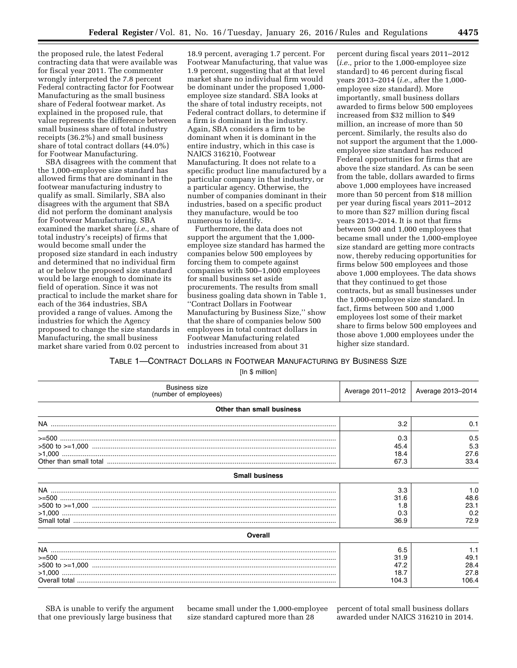the proposed rule, the latest Federal contracting data that were available was for fiscal year 2011. The commenter wrongly interpreted the 7.8 percent Federal contracting factor for Footwear Manufacturing as the small business share of Federal footwear market. As explained in the proposed rule, that value represents the difference between small business share of total industry receipts (36.2%) and small business share of total contract dollars (44.0%) for Footwear Manufacturing.

SBA disagrees with the comment that the 1,000-employee size standard has allowed firms that are dominant in the footwear manufacturing industry to qualify as small. Similarly, SBA also disagrees with the argument that SBA did not perform the dominant analysis for Footwear Manufacturing. SBA examined the market share (*i.e.,* share of total industry's receipts) of firms that would become small under the proposed size standard in each industry and determined that no individual firm at or below the proposed size standard would be large enough to dominate its field of operation. Since it was not practical to include the market share for each of the 364 industries, SBA provided a range of values. Among the industries for which the Agency proposed to change the size standards in Manufacturing, the small business market share varied from 0.02 percent to

18.9 percent, averaging 1.7 percent. For Footwear Manufacturing, that value was 1.9 percent, suggesting that at that level market share no individual firm would be dominant under the proposed 1,000 employee size standard. SBA looks at the share of total industry receipts, not Federal contract dollars, to determine if a firm is dominant in the industry. Again, SBA considers a firm to be dominant when it is dominant in the entire industry, which in this case is NAICS 316210, Footwear Manufacturing. It does not relate to a specific product line manufactured by a particular company in that industry, or a particular agency. Otherwise, the number of companies dominant in their industries, based on a specific product they manufacture, would be too numerous to identify.

Furthermore, the data does not support the argument that the 1,000 employee size standard has harmed the companies below 500 employees by forcing them to compete against companies with 500–1,000 employees for small business set aside procurements. The results from small business goaling data shown in Table 1, ''Contract Dollars in Footwear Manufacturing by Business Size,'' show that the share of companies below 500 employees in total contract dollars in Footwear Manufacturing related industries increased from about 31

percent during fiscal years 2011–2012 (*i.e.,* prior to the 1,000-employee size standard) to 46 percent during fiscal years 2013–2014 (*i.e.,* after the 1,000 employee size standard). More importantly, small business dollars awarded to firms below 500 employees increased from \$32 million to \$49 million, an increase of more than 50 percent. Similarly, the results also do not support the argument that the 1,000 employee size standard has reduced Federal opportunities for firms that are above the size standard. As can be seen from the table, dollars awarded to firms above 1,000 employees have increased more than 50 percent from \$18 million per year during fiscal years 2011–2012 to more than \$27 million during fiscal years 2013–2014. It is not that firms between 500 and 1,000 employees that became small under the 1,000-employee size standard are getting more contracts now, thereby reducing opportunities for firms below 500 employees and those above 1,000 employees. The data shows that they continued to get those contracts, but as small businesses under the 1,000-employee size standard. In fact, firms between 500 and 1,000 employees lost some of their market share to firms below 500 employees and those above 1,000 employees under the higher size standard.

## TABLE 1—CONTRACT DOLLARS IN FOOTWEAR MANUFACTURING BY BUSINESS SIZE

[In \$ million]

| <b>Business size</b><br>(number of employees) | Average 2011-2012                    | Average 2013-2014                    |
|-----------------------------------------------|--------------------------------------|--------------------------------------|
| Other than small business                     |                                      |                                      |
|                                               | 3.2                                  | 0.1                                  |
|                                               | 0.3<br>45.4<br>18.4<br>67.3          | 0.5<br>5.3<br>27.6<br>33.4           |
| <b>Small business</b>                         |                                      |                                      |
|                                               | 3.3<br>31.6<br>1.8<br>0.3<br>36.9    | 1.0<br>48.6<br>23.1<br>0.2<br>72.9   |
| Overall                                       |                                      |                                      |
|                                               | 6.5<br>31.9<br>47.2<br>18.7<br>104.3 | 1.1<br>49.1<br>28.4<br>27.8<br>106.4 |

SBA is unable to verify the argument that one previously large business that

became small under the 1,000-employee size standard captured more than 28

percent of total small business dollars awarded under NAICS 316210 in 2014.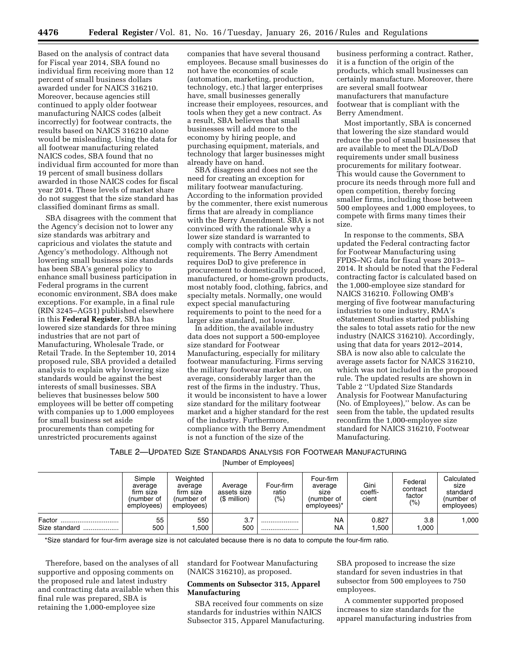Based on the analysis of contract data for Fiscal year 2014, SBA found no individual firm receiving more than 12 percent of small business dollars awarded under for NAICS 316210. Moreover, because agencies still continued to apply older footwear manufacturing NAICS codes (albeit incorrectly) for footwear contracts, the results based on NAICS 316210 alone would be misleading. Using the data for all footwear manufacturing related NAICS codes, SBA found that no individual firm accounted for more than 19 percent of small business dollars awarded in those NAICS codes for fiscal year 2014. These levels of market share do not suggest that the size standard has classified dominant firms as small.

SBA disagrees with the comment that the Agency's decision not to lower any size standards was arbitrary and capricious and violates the statute and Agency's methodology. Although not lowering small business size standards has been SBA's general policy to enhance small business participation in Federal programs in the current economic environment, SBA does make exceptions. For example, in a final rule (RIN 3245–AG51) published elsewhere in this **Federal Register**, SBA has lowered size standards for three mining industries that are not part of Manufacturing, Wholesale Trade, or Retail Trade. In the September 10, 2014 proposed rule, SBA provided a detailed analysis to explain why lowering size standards would be against the best interests of small businesses. SBA believes that businesses below 500 employees will be better off competing with companies up to 1,000 employees for small business set aside procurements than competing for unrestricted procurements against

companies that have several thousand employees. Because small businesses do not have the economies of scale (automation, marketing, production, technology, etc.) that larger enterprises have, small businesses generally increase their employees, resources, and tools when they get a new contract. As a result, SBA believes that small businesses will add more to the economy by hiring people, and purchasing equipment, materials, and technology that larger businesses might already have on hand.

SBA disagrees and does not see the need for creating an exception for military footwear manufacturing. According to the information provided by the commenter, there exist numerous firms that are already in compliance with the Berry Amendment. SBA is not convinced with the rationale why a lower size standard is warranted to comply with contracts with certain requirements. The Berry Amendment requires DoD to give preference in procurement to domestically produced, manufactured, or home-grown products, most notably food, clothing, fabrics, and specialty metals. Normally, one would expect special manufacturing requirements to point to the need for a larger size standard, not lower.

In addition, the available industry data does not support a 500-employee size standard for Footwear Manufacturing, especially for military footwear manufacturing. Firms serving the military footwear market are, on average, considerably larger than the rest of the firms in the industry. Thus, it would be inconsistent to have a lower size standard for the military footwear market and a higher standard for the rest of the industry. Furthermore, compliance with the Berry Amendment is not a function of the size of the

business performing a contract. Rather, it is a function of the origin of the products, which small businesses can certainly manufacture. Moreover, there are several small footwear manufacturers that manufacture footwear that is compliant with the Berry Amendment.

Most importantly, SBA is concerned that lowering the size standard would reduce the pool of small businesses that are available to meet the DLA/DoD requirements under small business procurements for military footwear. This would cause the Government to procure its needs through more full and open competition, thereby forcing smaller firms, including those between 500 employees and 1,000 employees, to compete with firms many times their size.

In response to the comments, SBA updated the Federal contracting factor for Footwear Manufacturing using FPDS–NG data for fiscal years 2013– 2014. It should be noted that the Federal contracting factor is calculated based on the 1,000-employee size standard for NAICS 316210. Following OMB's merging of five footwear manufacturing industries to one industry, RMA's eStatement Studies started publishing the sales to total assets ratio for the new industry (NAICS 316210). Accordingly, using that data for years 2012–2014, SBA is now also able to calculate the average assets factor for NAICS 316210, which was not included in the proposed rule. The updated results are shown in Table 2 ''Updated Size Standards Analysis for Footwear Manufacturing (No. of Employees),'' below. As can be seen from the table, the updated results reconfirm the 1,000-employee size standard for NAICS 316210, Footwear Manufacturing.

## TABLE 2—UPDATED SIZE STANDARDS ANALYSIS FOR FOOTWEAR MANUFACTURING

[Number of Employees]

|                             | Simple<br>average<br>firm size<br>number of<br>employees) | Weighted<br>average<br>firm size<br>(number of<br>emplovees) | Average<br>assets size<br>(\$ million) | Four-firm<br>ratio<br>(% ) | Four-firm<br>average<br>size<br>(number of<br>employees)* | Gini<br>coeffi-<br>cient | Federal<br>contract<br>factor<br>$(\% )$ | Calculated<br>size<br>standard<br>(number of<br>employees) |
|-----------------------------|-----------------------------------------------------------|--------------------------------------------------------------|----------------------------------------|----------------------------|-----------------------------------------------------------|--------------------------|------------------------------------------|------------------------------------------------------------|
| Factor<br>Size standard<br> | 55<br>500                                                 | 550<br>.500                                                  | 3.7<br>500                             | <br>                       | <b>NA</b><br><b>NA</b>                                    | 0.827<br>.500            | 3.8<br>1,000                             | 000,                                                       |

\*Size standard for four-firm average size is not calculated because there is no data to compute the four-firm ratio.

Therefore, based on the analyses of all supportive and opposing comments on the proposed rule and latest industry and contracting data available when this final rule was prepared, SBA is retaining the 1,000-employee size

standard for Footwear Manufacturing (NAICS 316210), as proposed.

### **Comments on Subsector 315, Apparel Manufacturing**

SBA received four comments on size standards for industries within NAICS Subsector 315, Apparel Manufacturing. SBA proposed to increase the size standard for seven industries in that subsector from 500 employees to 750 employees.

A commenter supported proposed increases to size standards for the apparel manufacturing industries from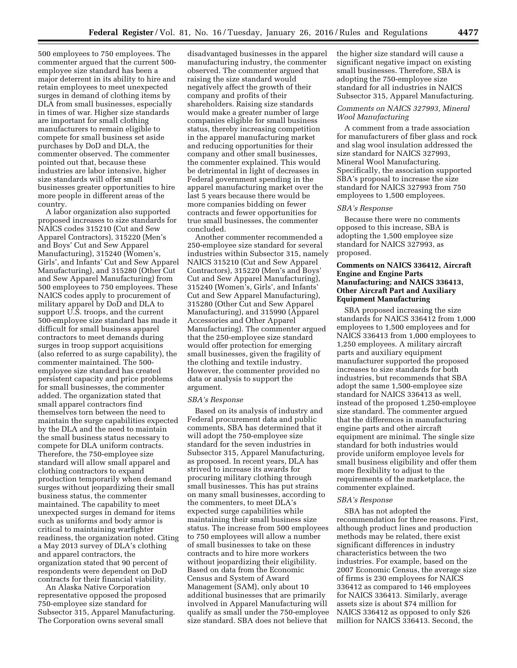500 employees to 750 employees. The commenter argued that the current 500 employee size standard has been a major deterrent in its ability to hire and retain employees to meet unexpected surges in demand of clothing items by DLA from small businesses, especially in times of war. Higher size standards are important for small clothing manufacturers to remain eligible to compete for small business set aside purchases by DoD and DLA, the commenter observed. The commenter pointed out that, because these industries are labor intensive, higher size standards will offer small businesses greater opportunities to hire more people in different areas of the country.

A labor organization also supported proposed increases to size standards for NAICS codes 315210 (Cut and Sew Apparel Contractors), 315220 (Men's and Boys' Cut and Sew Apparel Manufacturing), 315240 (Women's, Girls', and Infants' Cut and Sew Apparel Manufacturing), and 315280 (Other Cut and Sew Apparel Manufacturing) from 500 employees to 750 employees. These NAICS codes apply to procurement of military apparel by DoD and DLA to support U.S. troops, and the current 500-employee size standard has made it difficult for small business apparel contractors to meet demands during surges in troop support acquisitions (also referred to as surge capability), the commenter maintained. The 500 employee size standard has created persistent capacity and price problems for small businesses, the commenter added. The organization stated that small apparel contractors find themselves torn between the need to maintain the surge capabilities expected by the DLA and the need to maintain the small business status necessary to compete for DLA uniform contracts. Therefore, the 750-employee size standard will allow small apparel and clothing contractors to expand production temporarily when demand surges without jeopardizing their small business status, the commenter maintained. The capability to meet unexpected surges in demand for items such as uniforms and body armor is critical to maintaining warfighter readiness, the organization noted. Citing a May 2013 survey of DLA's clothing and apparel contractors, the organization stated that 90 percent of respondents were dependent on DoD contracts for their financial viability.

An Alaska Native Corporation representative opposed the proposed 750-employee size standard for Subsector 315, Apparel Manufacturing. The Corporation owns several small

disadvantaged businesses in the apparel manufacturing industry, the commenter observed. The commenter argued that raising the size standard would negatively affect the growth of their company and profits of their shareholders. Raising size standards would make a greater number of large companies eligible for small business status, thereby increasing competition in the apparel manufacturing market and reducing opportunities for their company and other small businesses, the commenter explained. This would be detrimental in light of decreases in Federal government spending in the apparel manufacturing market over the last 5 years because there would be more companies bidding on fewer contracts and fewer opportunities for true small businesses, the commenter concluded.

Another commenter recommended a 250-employee size standard for several industries within Subsector 315, namely NAICS 315210 (Cut and Sew Apparel Contractors), 315220 (Men's and Boys' Cut and Sew Apparel Manufacturing), 315240 (Women's, Girls', and Infants' Cut and Sew Apparel Manufacturing), 315280 (Other Cut and Sew Apparel Manufacturing), and 315990 (Apparel Accessories and Other Apparel Manufacturing). The commenter argued that the 250-employee size standard would offer protection for emerging small businesses, given the fragility of the clothing and textile industry. However, the commenter provided no data or analysis to support the argument.

#### *SBA's Response*

Based on its analysis of industry and Federal procurement data and public comments, SBA has determined that it will adopt the 750-employee size standard for the seven industries in Subsector 315, Apparel Manufacturing, as proposed. In recent years, DLA has strived to increase its awards for procuring military clothing through small businesses. This has put strains on many small businesses, according to the commenters, to meet DLA's expected surge capabilities while maintaining their small business size status. The increase from 500 employees to 750 employees will allow a number of small businesses to take on these contracts and to hire more workers without jeopardizing their eligibility. Based on data from the Economic Census and System of Award Management (SAM), only about 10 additional businesses that are primarily involved in Apparel Manufacturing will qualify as small under the 750-employee size standard. SBA does not believe that

the higher size standard will cause a significant negative impact on existing small businesses. Therefore, SBA is adopting the 750-employee size standard for all industries in NAICS Subsector 315, Apparel Manufacturing.

### *Comments on NAICS 327993, Mineral Wool Manufacturing*

A comment from a trade association for manufacturers of fiber glass and rock and slag wool insulation addressed the size standard for NAICS 327993, Mineral Wool Manufacturing. Specifically, the association supported SBA's proposal to increase the size standard for NAICS 327993 from 750 employees to 1,500 employees.

### *SBA's Response*

Because there were no comments opposed to this increase, SBA is adopting the 1,500 employee size standard for NAICS 327993, as proposed.

## **Comments on NAICS 336412, Aircraft Engine and Engine Parts Manufacturing; and NAICS 336413, Other Aircraft Part and Auxiliary Equipment Manufacturing**

SBA proposed increasing the size standards for NAICS 336412 from 1,000 employees to 1,500 employees and for NAICS 336413 from 1,000 employees to 1,250 employees. A military aircraft parts and auxiliary equipment manufacturer supported the proposed increases to size standards for both industries, but recommends that SBA adopt the same 1,500-employee size standard for NAICS 336413 as well, instead of the proposed 1,250-employee size standard. The commenter argued that the differences in manufacturing engine parts and other aircraft equipment are minimal. The single size standard for both industries would provide uniform employee levels for small business eligibility and offer them more flexibility to adjust to the requirements of the marketplace, the commenter explained.

#### *SBA's Response*

SBA has not adopted the recommendation for three reasons. First, although product lines and production methods may be related, there exist significant differences in industry characteristics between the two industries. For example, based on the 2007 Economic Census, the average size of firms is 230 employees for NAICS 336412 as compared to 146 employees for NAICS 336413. Similarly, average assets size is about \$74 million for NAICS 336412 as opposed to only \$26 million for NAICS 336413. Second, the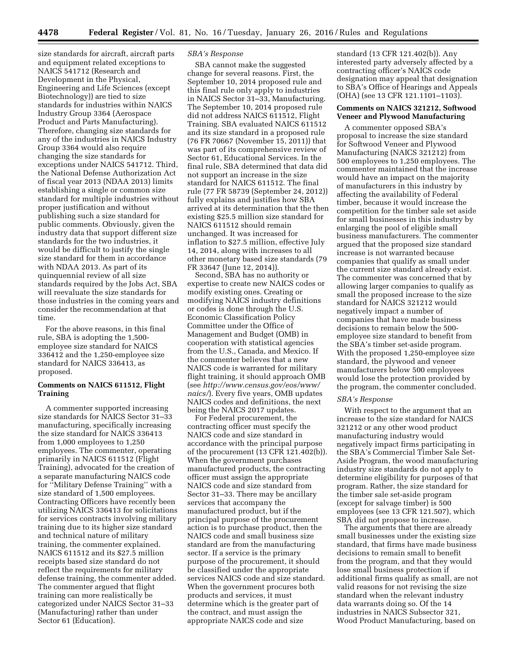size standards for aircraft, aircraft parts and equipment related exceptions to NAICS 541712 (Research and Development in the Physical, Engineering and Life Sciences (except Biotechnology)) are tied to size standards for industries within NAICS Industry Group 3364 (Aerospace Product and Parts Manufacturing). Therefore, changing size standards for any of the industries in NAICS Industry Group 3364 would also require changing the size standards for exceptions under NAICS 541712. Third, the National Defense Authorization Act of fiscal year 2013 (NDAA 2013) limits establishing a single or common size standard for multiple industries without proper justification and without publishing such a size standard for public comments. Obviously, given the industry data that support different size standards for the two industries, it would be difficult to justify the single size standard for them in accordance with NDAA 2013. As part of its quinquennial review of all size standards required by the Jobs Act, SBA will reevaluate the size standards for those industries in the coming years and consider the recommendation at that time.

For the above reasons, in this final rule, SBA is adopting the 1,500 employee size standard for NAICS 336412 and the 1,250-employee size standard for NAICS 336413, as proposed.

## **Comments on NAICS 611512, Flight Training**

A commenter supported increasing size standards for NAICS Sector 31–33 manufacturing, specifically increasing the size standard for NAICS 336413 from 1,000 employees to 1,250 employees. The commenter, operating primarily in NAICS 611512 (Flight Training), advocated for the creation of a separate manufacturing NAICS code for ''Military Defense Training'' with a size standard of 1,500 employees. Contracting Officers have recently been utilizing NAICS 336413 for solicitations for services contracts involving military training due to its higher size standard and technical nature of military training, the commenter explained. NAICS 611512 and its \$27.5 million receipts based size standard do not reflect the requirements for military defense training, the commenter added. The commenter argued that flight training can more realistically be categorized under NAICS Sector 31–33 (Manufacturing) rather than under Sector 61 (Education).

### *SBA's Response*

SBA cannot make the suggested change for several reasons. First, the September 10, 2014 proposed rule and this final rule only apply to industries in NAICS Sector 31–33, Manufacturing. The September 10, 2014 proposed rule did not address NAICS 611512, Flight Training. SBA evaluated NAICS 611512 and its size standard in a proposed rule (76 FR 70667 (November 15, 2011)) that was part of its comprehensive review of Sector 61, Educational Services. In the final rule, SBA determined that data did not support an increase in the size standard for NAICS 611512. The final rule (77 FR 58739 (September 24, 2012)) fully explains and justifies how SBA arrived at its determination that the then existing \$25.5 million size standard for NAICS 611512 should remain unchanged. It was increased for inflation to \$27.5 million, effective July 14, 2014, along with increases to all other monetary based size standards (79 FR 33647 (June 12, 2014)).

Second, SBA has no authority or expertise to create new NAICS codes or modify existing ones. Creating or modifying NAICS industry definitions or codes is done through the U.S. Economic Classification Policy Committee under the Office of Management and Budget (OMB) in cooperation with statistical agencies from the U.S., Canada, and Mexico. If the commenter believes that a new NAICS code is warranted for military flight training, it should approach OMB (see *[http://www.census.gov/eos/www/](http://www.census.gov/eos/www/naics/) [naics/](http://www.census.gov/eos/www/naics/)*). Every five years, OMB updates NAICS codes and definitions, the next being the NAICS 2017 updates.

For Federal procurement, the contracting officer must specify the NAICS code and size standard in accordance with the principal purpose of the procurement (13 CFR 121.402(b)). When the government purchases manufactured products, the contracting officer must assign the appropriate NAICS code and size standard from Sector 31–33. There may be ancillary services that accompany the manufactured product, but if the principal purpose of the procurement action is to purchase product, then the NAICS code and small business size standard are from the manufacturing sector. If a service is the primary purpose of the procurement, it should be classified under the appropriate services NAICS code and size standard. When the government procures both products and services, it must determine which is the greater part of the contract, and must assign the appropriate NAICS code and size

standard (13 CFR 121.402(b)). Any interested party adversely affected by a contracting officer's NAICS code designation may appeal that designation to SBA's Office of Hearings and Appeals (OHA) (see 13 CFR 121.1101–1103).

### **Comments on NAICS 321212, Softwood Veneer and Plywood Manufacturing**

A commenter opposed SBA's proposal to increase the size standard for Softwood Veneer and Plywood Manufacturing (NAICS 321212) from 500 employees to 1,250 employees. The commenter maintained that the increase would have an impact on the majority of manufacturers in this industry by affecting the availability of Federal timber, because it would increase the competition for the timber sale set aside for small businesses in this industry by enlarging the pool of eligible small business manufacturers. The commenter argued that the proposed size standard increase is not warranted because companies that qualify as small under the current size standard already exist. The commenter was concerned that by allowing larger companies to qualify as small the proposed increase to the size standard for NAICS 321212 would negatively impact a number of companies that have made business decisions to remain below the 500 employee size standard to benefit from the SBA's timber set-aside program. With the proposed 1,250-employee size standard, the plywood and veneer manufacturers below 500 employees would lose the protection provided by the program, the commenter concluded.

### *SBA's Response*

With respect to the argument that an increase to the size standard for NAICS 321212 or any other wood product manufacturing industry would negatively impact firms participating in the SBA's Commercial Timber Sale Set-Aside Program, the wood manufacturing industry size standards do not apply to determine eligibility for purposes of that program. Rather, the size standard for the timber sale set-aside program (except for salvage timber) is 500 employees (see 13 CFR 121.507), which SBA did not propose to increase.

The arguments that there are already small businesses under the existing size standard, that firms have made business decisions to remain small to benefit from the program, and that they would lose small business protection if additional firms qualify as small, are not valid reasons for not revising the size standard when the relevant industry data warrants doing so. Of the 14 industries in NAICS Subsector 321, Wood Product Manufacturing, based on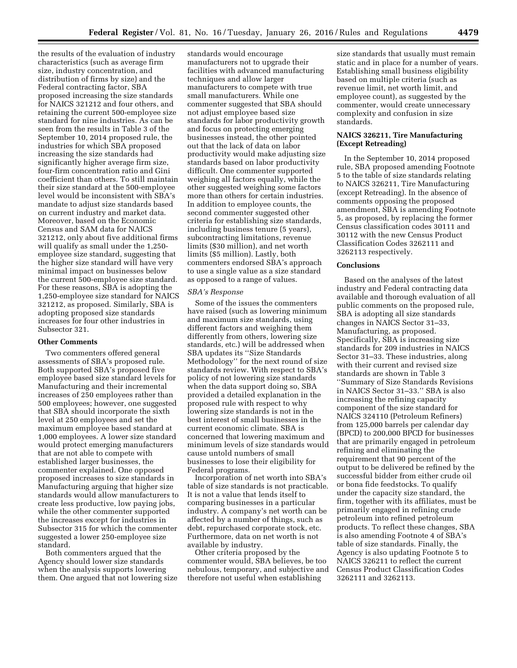the results of the evaluation of industry characteristics (such as average firm size, industry concentration, and distribution of firms by size) and the Federal contracting factor, SBA proposed increasing the size standards for NAICS 321212 and four others, and retaining the current 500-employee size standard for nine industries. As can be seen from the results in Table 3 of the September 10, 2014 proposed rule, the industries for which SBA proposed increasing the size standards had significantly higher average firm size, four-firm concentration ratio and Gini coefficient than others. To still maintain their size standard at the 500-employee level would be inconsistent with SBA's mandate to adjust size standards based on current industry and market data. Moreover, based on the Economic Census and SAM data for NAICS 321212, only about five additional firms will qualify as small under the 1,250 employee size standard, suggesting that the higher size standard will have very minimal impact on businesses below the current 500-employee size standard. For these reasons, SBA is adopting the 1,250-employee size standard for NAICS 321212, as proposed. Similarly, SBA is adopting proposed size standards increases for four other industries in Subsector 321.

#### **Other Comments**

Two commenters offered general assessments of SBA's proposed rule. Both supported SBA's proposed five employee based size standard levels for Manufacturing and their incremental increases of 250 employees rather than 500 employees; however, one suggested that SBA should incorporate the sixth level at 250 employees and set the maximum employee based standard at 1,000 employees. A lower size standard would protect emerging manufacturers that are not able to compete with established larger businesses, the commenter explained. One opposed proposed increases to size standards in Manufacturing arguing that higher size standards would allow manufacturers to create less productive, low paying jobs, while the other commenter supported the increases except for industries in Subsector 315 for which the commenter suggested a lower 250-employee size standard.

Both commenters argued that the Agency should lower size standards when the analysis supports lowering them. One argued that not lowering size

standards would encourage manufacturers not to upgrade their facilities with advanced manufacturing techniques and allow larger manufacturers to compete with true small manufacturers. While one commenter suggested that SBA should not adjust employee based size standards for labor productivity growth and focus on protecting emerging businesses instead, the other pointed out that the lack of data on labor productivity would make adjusting size standards based on labor productivity difficult. One commenter supported weighing all factors equally, while the other suggested weighing some factors more than others for certain industries. In addition to employee counts, the second commenter suggested other criteria for establishing size standards, including business tenure (5 years), subcontracting limitations, revenue limits (\$30 million), and net worth limits (\$5 million). Lastly, both commenters endorsed SBA's approach to use a single value as a size standard as opposed to a range of values.

### *SBA's Response*

Some of the issues the commenters have raised (such as lowering minimum and maximum size standards, using different factors and weighing them differently from others, lowering size standards, etc.) will be addressed when SBA updates its ''Size Standards Methodology'' for the next round of size standards review. With respect to SBA's policy of not lowering size standards when the data support doing so, SBA provided a detailed explanation in the proposed rule with respect to why lowering size standards is not in the best interest of small businesses in the current economic climate. SBA is concerned that lowering maximum and minimum levels of size standards would cause untold numbers of small businesses to lose their eligibility for Federal programs.

Incorporation of net worth into SBA's table of size standards is not practicable. It is not a value that lends itself to comparing businesses in a particular industry. A company's net worth can be affected by a number of things, such as debt, repurchased corporate stock, etc. Furthermore, data on net worth is not available by industry.

Other criteria proposed by the commenter would, SBA believes, be too nebulous, temporary, and subjective and therefore not useful when establishing

size standards that usually must remain static and in place for a number of years. Establishing small business eligibility based on multiple criteria (such as revenue limit, net worth limit, and employee count), as suggested by the commenter, would create unnecessary complexity and confusion in size standards.

## **NAICS 326211, Tire Manufacturing (Except Retreading)**

In the September 10, 2014 proposed rule, SBA proposed amending Footnote 5 to the table of size standards relating to NAICS 326211, Tire Manufacturing (except Retreading). In the absence of comments opposing the proposed amendment, SBA is amending Footnote 5, as proposed, by replacing the former Census classification codes 30111 and 30112 with the new Census Product Classification Codes 3262111 and 3262113 respectively.

### **Conclusions**

Based on the analyses of the latest industry and Federal contracting data available and thorough evaluation of all public comments on the proposed rule, SBA is adopting all size standards changes in NAICS Sector 31–33, Manufacturing, as proposed. Specifically, SBA is increasing size standards for 209 industries in NAICS Sector 31–33. These industries, along with their current and revised size standards are shown in Table 3 ''Summary of Size Standards Revisions in NAICS Sector 31–33.'' SBA is also increasing the refining capacity component of the size standard for NAICS 324110 (Petroleum Refiners) from 125,000 barrels per calendar day (BPCD) to 200,000 BPCD for businesses that are primarily engaged in petroleum refining and eliminating the requirement that 90 percent of the output to be delivered be refined by the successful bidder from either crude oil or bona fide feedstocks. To qualify under the capacity size standard, the firm, together with its affiliates, must be primarily engaged in refining crude petroleum into refined petroleum products. To reflect these changes, SBA is also amending Footnote 4 of SBA's table of size standards. Finally, the Agency is also updating Footnote 5 to NAICS 326211 to reflect the current Census Product Classification Codes 3262111 and 3262113.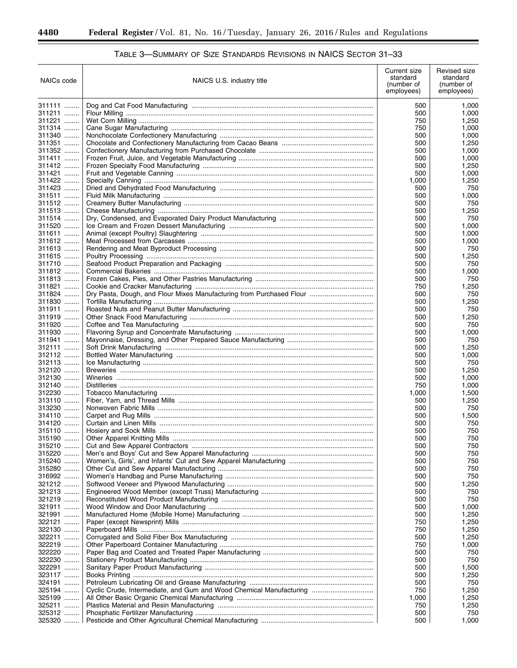-

| NAICs code       | NAICS U.S. industry title                                            | Current size<br>standard<br>(number of<br>employees) | Revised size<br>standard<br>(number of<br>employees) |
|------------------|----------------------------------------------------------------------|------------------------------------------------------|------------------------------------------------------|
| 311111           |                                                                      | 500                                                  | 1,000                                                |
| 311211           |                                                                      | 500                                                  | 1,000                                                |
| 311221           |                                                                      | 750                                                  | 1,250                                                |
| 311314           |                                                                      | 750                                                  | 1,000                                                |
| 311340           |                                                                      | 500                                                  | 1,000                                                |
| 311351           |                                                                      | 500                                                  | 1,250                                                |
| 311352<br>311411 |                                                                      | 500                                                  | 1,000                                                |
| 311412           |                                                                      | 500<br>500                                           | 1,000<br>1,250                                       |
| 311421           |                                                                      | 500                                                  | 1,000                                                |
| 311422           |                                                                      | 1,000                                                | 1,250                                                |
| 311423           |                                                                      | 500                                                  | 750                                                  |
| 311511           |                                                                      | 500                                                  | 1,000                                                |
| 311512           |                                                                      | 500                                                  | 750                                                  |
| 311513           |                                                                      | 500                                                  | 1,250                                                |
| 311514           |                                                                      | 500                                                  | 750                                                  |
| 311520           |                                                                      | 500                                                  | 1,000                                                |
| 311611           |                                                                      | 500                                                  | 1,000                                                |
| 311612<br>311613 |                                                                      | 500<br>500                                           | 1,000<br>750                                         |
| 311615           |                                                                      | 500                                                  | 1,250                                                |
| 311710           |                                                                      | 500                                                  | 750                                                  |
| 311812           |                                                                      | 500                                                  | 1,000                                                |
| 311813           |                                                                      | 500                                                  | 750                                                  |
| 311821           |                                                                      | 750                                                  | 1,250                                                |
| 311824           | Dry Pasta, Dough, and Flour Mixes Manufacturing from Purchased Flour | 500                                                  | 750                                                  |
| 311830           |                                                                      | 500                                                  | 1,250                                                |
| 311911           |                                                                      | 500                                                  | 750                                                  |
| 311919           |                                                                      | 500                                                  | 1,250                                                |
| 311920           |                                                                      | 500                                                  | 750                                                  |
| 311930<br>311941 |                                                                      | 500<br>500                                           | 1,000<br>750                                         |
| 312111           |                                                                      | 500                                                  | 1,250                                                |
| 312112           |                                                                      | 500                                                  | 1,000                                                |
| 312113           |                                                                      | 500                                                  | 750                                                  |
| 312120           |                                                                      | 500                                                  | 1,250                                                |
| 312130           |                                                                      | 500                                                  | 1,000                                                |
| 312140           |                                                                      | 750                                                  | 1,000                                                |
| 312230           |                                                                      | 1,000                                                | 1,500                                                |
| 313110           |                                                                      | 500                                                  | 1,250                                                |
| 313230           |                                                                      | 500                                                  | 750                                                  |
| 314110<br>314120 |                                                                      | 500<br>500                                           | 1,500<br>750                                         |
| 315110           |                                                                      | 500                                                  | 750                                                  |
| 315190           |                                                                      | 500                                                  | 750                                                  |
| 315210           |                                                                      | 500                                                  | 750                                                  |
| 315220           |                                                                      | 500                                                  | 750                                                  |
| 315240           |                                                                      | 500                                                  | 750                                                  |
| 315280           |                                                                      | 500                                                  | 750                                                  |
| 316992           |                                                                      | 500                                                  | 750                                                  |
| 321212           |                                                                      | 500                                                  | 1,250                                                |
| 321213           |                                                                      | 500                                                  | 750                                                  |
| 321219<br>321911 |                                                                      | 500<br>500                                           | 750<br>1,000                                         |
| 321991           |                                                                      | 500                                                  | 1,250                                                |
| 322121           |                                                                      | 750                                                  | 1,250                                                |
| 322130           |                                                                      | 750                                                  | 1,250                                                |
| 322211           |                                                                      | 500                                                  | 1,250                                                |
| 322219           |                                                                      | 750                                                  | 1,000                                                |
| 322220           |                                                                      | 500                                                  | 750                                                  |
| 322230           |                                                                      | 500                                                  | 750                                                  |
| 322291           |                                                                      | 500                                                  | 1,500                                                |
| 323117           |                                                                      | 500                                                  | 1,250                                                |
| 324191           |                                                                      | 500                                                  | 750                                                  |
| 325194           | Cyclic Crude, Intermediate, and Gum and Wood Chemical Manufacturing  | 750                                                  | 1,250                                                |
| 325199<br>325211 |                                                                      | 1,000<br>750                                         | 1,250<br>1,250                                       |
| 325312           |                                                                      | 500                                                  | 750                                                  |
| 325320           |                                                                      | 500                                                  | 1,000                                                |

# TABLE 3—SUMMARY OF SIZE STANDARDS REVISIONS IN NAICS SECTOR 31–33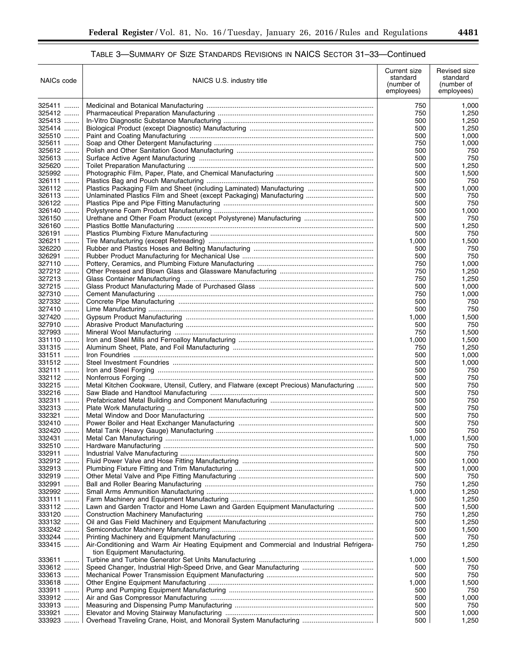▀

# TABLE 3—SUMMARY OF SIZE STANDARDS REVISIONS IN NAICS SECTOR 31–33—Continued

| NAICs code       | NAICS U.S. industry title                                                                                                 | Current size<br>standard<br>(number of<br>employees) | Revised size<br>standard<br>(number of<br>employees) |
|------------------|---------------------------------------------------------------------------------------------------------------------------|------------------------------------------------------|------------------------------------------------------|
| 325411           |                                                                                                                           | 750                                                  | 1,000                                                |
| 325412           |                                                                                                                           | 750                                                  | 1,250                                                |
| 325413           |                                                                                                                           | 500                                                  | 1,250                                                |
| 325414           |                                                                                                                           | 500                                                  | 1,250                                                |
| 325510           |                                                                                                                           | 500                                                  | 1,000                                                |
| 325611           |                                                                                                                           | 750                                                  | 1,000                                                |
| 325612<br>325613 |                                                                                                                           | 500<br>500                                           | 750<br>750                                           |
| 325620           |                                                                                                                           | 500                                                  | 1,250                                                |
| 325992           |                                                                                                                           | 500                                                  | 1,500                                                |
| 326111           |                                                                                                                           | 500                                                  | 750                                                  |
| 326112           |                                                                                                                           | 500                                                  | 1,000                                                |
| 326113           |                                                                                                                           | 500                                                  | 750                                                  |
| 326122           |                                                                                                                           | 500                                                  | 750                                                  |
| 326140           |                                                                                                                           | 500                                                  | 1,000                                                |
| 326150           |                                                                                                                           | 500                                                  | 750                                                  |
| 326160           |                                                                                                                           | 500                                                  | 1,250                                                |
| 326191           |                                                                                                                           | 500                                                  | 750                                                  |
| 326211           |                                                                                                                           | 1,000                                                | 1,500                                                |
| 326220           |                                                                                                                           | 500                                                  | 750                                                  |
| 326291<br>327110 |                                                                                                                           | 500<br>750                                           | 750<br>1,000                                         |
| 327212           |                                                                                                                           | 750                                                  | 1,250                                                |
| 327213           |                                                                                                                           | 750                                                  | 1,250                                                |
| 327215           |                                                                                                                           | 500                                                  | 1,000                                                |
| 327310           |                                                                                                                           | 750                                                  | 1,000                                                |
| 327332           |                                                                                                                           | 500                                                  | 750                                                  |
| 327410           |                                                                                                                           | 500                                                  | 750                                                  |
| 327420           |                                                                                                                           | 1,000                                                | 1,500                                                |
| 327910           |                                                                                                                           | 500                                                  | 750                                                  |
| 327993           |                                                                                                                           | 750                                                  | 1,500                                                |
| 331110           |                                                                                                                           | 1,000                                                | 1,500                                                |
| 331315           |                                                                                                                           | 750                                                  | 1,250                                                |
| 331511           |                                                                                                                           | 500                                                  | 1,000                                                |
| 331512           |                                                                                                                           | 500                                                  | 1,000                                                |
| 332111           |                                                                                                                           | 500                                                  | 750                                                  |
| 332112           |                                                                                                                           | 500                                                  | 750                                                  |
| 332215<br>332216 | Metal Kitchen Cookware, Utensil, Cutlery, and Flatware (except Precious) Manufacturing                                    | 500                                                  | 750<br>750                                           |
| 332311           |                                                                                                                           | 500<br>500                                           | 750                                                  |
| 332313           |                                                                                                                           | 500                                                  | 750                                                  |
| 332321           |                                                                                                                           | 500                                                  | 750                                                  |
| 332410           |                                                                                                                           | 500                                                  | 750                                                  |
| 332420           |                                                                                                                           | 500                                                  | 750                                                  |
| 332431           |                                                                                                                           | 1,000                                                | 1,500                                                |
| 332510           |                                                                                                                           | 500                                                  | 750                                                  |
| 332911           |                                                                                                                           | 500                                                  | 750                                                  |
| 332912           |                                                                                                                           | 500                                                  | 1,000                                                |
| 332913           |                                                                                                                           | 500                                                  | 1,000                                                |
| 332919           |                                                                                                                           | 500                                                  | 750                                                  |
| 332991           |                                                                                                                           | 750                                                  | 1,250                                                |
| 332992<br>333111 |                                                                                                                           | 1,000<br>500                                         | 1,250<br>1,250                                       |
| 333112           | Lawn and Garden Tractor and Home Lawn and Garden Equipment Manufacturing                                                  | 500                                                  | 1,500                                                |
| 333120           |                                                                                                                           | 750                                                  | 1,250                                                |
| 333132           |                                                                                                                           | 500                                                  | 1,250                                                |
| 333242           |                                                                                                                           | 500                                                  | 1,500                                                |
| 333244           |                                                                                                                           | 500                                                  | 750                                                  |
| 333415           | Air-Conditioning and Warm Air Heating Equipment and Commercial and Industrial Refrigera-<br>tion Equipment Manufacturing. | 750                                                  | 1,250                                                |
| 333611           |                                                                                                                           | 1,000                                                | 1,500                                                |
| 333612           |                                                                                                                           | 500                                                  | 750                                                  |
| 333613           |                                                                                                                           | 500                                                  | 750                                                  |
| 333618           |                                                                                                                           | 1,000                                                | 1,500                                                |
| 333911           |                                                                                                                           | 500                                                  | 750                                                  |
| 333912           |                                                                                                                           | 500                                                  | 1,000                                                |
| 333913           |                                                                                                                           | 500                                                  | 750                                                  |
| 333921           |                                                                                                                           | 500                                                  | 1,000                                                |
| 333923           |                                                                                                                           | 500                                                  | 1,250                                                |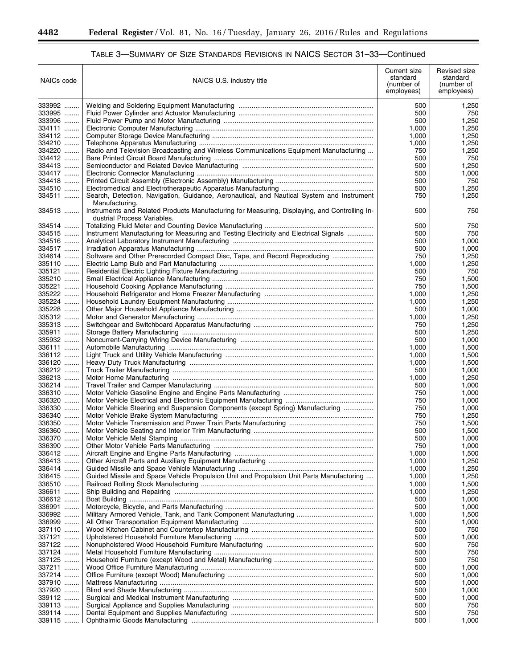۳

| NAICs code         | NAICS U.S. industry title                                                                                                    | Current size<br>standard<br>(number of<br>employees) | Revised size<br>standard<br>(number of<br>employees) |
|--------------------|------------------------------------------------------------------------------------------------------------------------------|------------------------------------------------------|------------------------------------------------------|
| 333992             |                                                                                                                              | 500                                                  | 1,250                                                |
| 333995             |                                                                                                                              | 500                                                  | 750                                                  |
| 333996             |                                                                                                                              | 500                                                  | 1,250                                                |
| 334111             |                                                                                                                              | 1,000                                                | 1,250                                                |
| 334112             |                                                                                                                              | 1,000                                                | 1,250                                                |
| 334210<br>334220   | Radio and Television Broadcasting and Wireless Communications Equipment Manufacturing                                        | 1,000<br>750                                         | 1,250<br>1,250                                       |
| 334412             |                                                                                                                              | 500                                                  | 750                                                  |
| 334413             |                                                                                                                              | 500                                                  | 1,250                                                |
| 334417             |                                                                                                                              | 500                                                  | 1,000                                                |
| 334418             |                                                                                                                              | 500                                                  | 750                                                  |
| 334510             |                                                                                                                              | 500                                                  | 1,250                                                |
| 334511             | Search, Detection, Navigation, Guidance, Aeronautical, and Nautical System and Instrument<br>Manufacturing.                  | 750                                                  | 1,250                                                |
| 334513             | Instruments and Related Products Manufacturing for Measuring, Displaying, and Controlling In-<br>dustrial Process Variables. | 500                                                  | 750                                                  |
| 334514             |                                                                                                                              | 500                                                  | 750                                                  |
| 334515             | Instrument Manufacturing for Measuring and Testing Electricity and Electrical Signals                                        | 500                                                  | 750                                                  |
| 334516<br>334517   |                                                                                                                              | 500<br>500                                           | 1,000<br>1,000                                       |
| 334614             | Software and Other Prerecorded Compact Disc, Tape, and Record Reproducing                                                    | 750                                                  | 1,250                                                |
| 335110             |                                                                                                                              | 1,000                                                | 1,250                                                |
| 335121             |                                                                                                                              | 500                                                  | 750                                                  |
| 335210             |                                                                                                                              | 750                                                  | 1,500                                                |
| 335221             |                                                                                                                              | 750                                                  | 1,500                                                |
| 335222             |                                                                                                                              | 1,000                                                | 1,250                                                |
| 335224             |                                                                                                                              | 1,000                                                | 1,250                                                |
| 335228             |                                                                                                                              | 500                                                  | 1,000                                                |
| 335312             |                                                                                                                              | 1,000                                                | 1,250                                                |
| 335313<br>335911   |                                                                                                                              | 750                                                  | 1,250                                                |
| 335932             |                                                                                                                              | 500<br>500                                           | 1,250<br>1,000                                       |
| 336111             |                                                                                                                              | 1,000                                                | 1,500                                                |
| 336112             |                                                                                                                              | 1,000                                                | 1,500                                                |
| 336120             |                                                                                                                              | 1,000                                                | 1,500                                                |
| 336212             |                                                                                                                              | 500                                                  | 1,000                                                |
| 336213             |                                                                                                                              | 1,000                                                | 1,250                                                |
| 336214             |                                                                                                                              | 500                                                  | 1,000                                                |
| 336310             |                                                                                                                              | 750                                                  | 1,000                                                |
| 336320             |                                                                                                                              | 750                                                  | 1,000                                                |
| 336330<br>$336340$ | Motor Vehicle Steering and Suspension Components (except Spring) Manufacturing                                               | 750                                                  | 1,000                                                |
| 336350             |                                                                                                                              | 750<br>750                                           | 1,250<br>1,500                                       |
| 336360             |                                                                                                                              | 500                                                  | 1,500                                                |
| 336370             |                                                                                                                              | 500                                                  | 1,000                                                |
| 336390             |                                                                                                                              | 750                                                  | 1,000                                                |
| 336412             |                                                                                                                              | 1,000                                                | 1,500                                                |
| 336413             |                                                                                                                              | 1,000                                                | 1,250                                                |
| 336414             |                                                                                                                              | 1,000                                                | 1,250                                                |
| 336415             | Guided Missile and Space Vehicle Propulsion Unit and Propulsion Unit Parts Manufacturing                                     | 1,000                                                | 1,250                                                |
| 336510             |                                                                                                                              | 1,000                                                | 1,500                                                |
| 336611             |                                                                                                                              | 1,000                                                | 1,250                                                |
| 336612<br>336991   |                                                                                                                              | 500<br>500                                           | 1,000<br>1,000                                       |
| 336992             |                                                                                                                              | 1,000                                                | 1,500                                                |
| 336999             |                                                                                                                              | 500                                                  | 1,000                                                |
| 337110             |                                                                                                                              | 500                                                  | 750                                                  |
| 337121             |                                                                                                                              | 500                                                  | 1,000                                                |
| 337122             |                                                                                                                              | 500                                                  | 750                                                  |
| 337124             |                                                                                                                              | 500                                                  | 750                                                  |
| 337125             |                                                                                                                              | 500                                                  | 750                                                  |
| 337211             |                                                                                                                              | 500                                                  | 1,000                                                |
| 337214             |                                                                                                                              | 500                                                  | 1,000                                                |
| 337910<br>337920   |                                                                                                                              | 500<br>500                                           | 1,000<br>1,000                                       |
| 339112             |                                                                                                                              | 500                                                  | 1,000                                                |
| 339113             |                                                                                                                              | 500                                                  | 750                                                  |
| 339114             |                                                                                                                              | 500                                                  | 750                                                  |
| 339115             |                                                                                                                              | 500                                                  | 1,000                                                |

# TABLE 3—SUMMARY OF SIZE STANDARDS REVISIONS IN NAICS SECTOR 31–33—Continued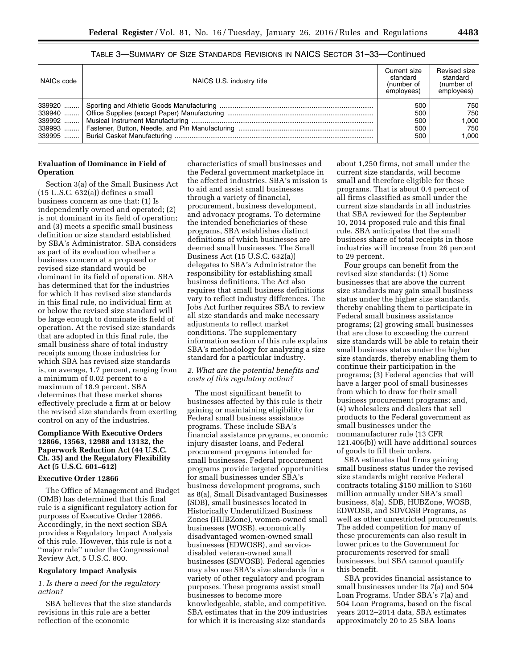# TABLE 3—SUMMARY OF SIZE STANDARDS REVISIONS IN NAICS SECTOR 31–33—Continued

| NAICs code | NAICS U.S. industry title | Current size<br>standard<br>(number of<br>employees) | Revised size<br>standard<br>(number of<br>employees) |
|------------|---------------------------|------------------------------------------------------|------------------------------------------------------|
| 339920     |                           | 500                                                  | 750                                                  |
|            |                           | 500                                                  | 750                                                  |
| 339992     |                           | 500                                                  | 000. ا                                               |
|            |                           | 500                                                  | 750                                                  |
| 339995     |                           | 500                                                  | 1.000                                                |

## **Evaluation of Dominance in Field of Operation**

Section 3(a) of the Small Business Act (15 U.S.C. 632(a)) defines a small business concern as one that: (1) Is independently owned and operated; (2) is not dominant in its field of operation; and (3) meets a specific small business definition or size standard established by SBA's Administrator. SBA considers as part of its evaluation whether a business concern at a proposed or revised size standard would be dominant in its field of operation. SBA has determined that for the industries for which it has revised size standards in this final rule, no individual firm at or below the revised size standard will be large enough to dominate its field of operation. At the revised size standards that are adopted in this final rule, the small business share of total industry receipts among those industries for which SBA has revised size standards is, on average, 1.7 percent, ranging from a minimum of 0.02 percent to a maximum of 18.9 percent. SBA determines that these market shares effectively preclude a firm at or below the revised size standards from exerting control on any of the industries.

### **Compliance With Executive Orders 12866, 13563, 12988 and 13132, the Paperwork Reduction Act (44 U.S.C. Ch. 35) and the Regulatory Flexibility Act (5 U.S.C. 601–612)**

### **Executive Order 12866**

The Office of Management and Budget (OMB) has determined that this final rule is a significant regulatory action for purposes of Executive Order 12866. Accordingly, in the next section SBA provides a Regulatory Impact Analysis of this rule. However, this rule is not a ''major rule'' under the Congressional Review Act, 5 U.S.C. 800.

### **Regulatory Impact Analysis**

## *1. Is there a need for the regulatory action?*

SBA believes that the size standards revisions in this rule are a better reflection of the economic

characteristics of small businesses and the Federal government marketplace in the affected industries. SBA's mission is to aid and assist small businesses through a variety of financial, procurement, business development, and advocacy programs. To determine the intended beneficiaries of these programs, SBA establishes distinct definitions of which businesses are deemed small businesses. The Small Business Act (15 U.S.C. 632(a)) delegates to SBA's Administrator the responsibility for establishing small business definitions. The Act also requires that small business definitions vary to reflect industry differences. The Jobs Act further requires SBA to review all size standards and make necessary adjustments to reflect market conditions. The supplementary information section of this rule explains SBA's methodology for analyzing a size standard for a particular industry.

### *2. What are the potential benefits and costs of this regulatory action?*

The most significant benefit to businesses affected by this rule is their gaining or maintaining eligibility for Federal small business assistance programs. These include SBA's financial assistance programs, economic injury disaster loans, and Federal procurement programs intended for small businesses. Federal procurement programs provide targeted opportunities for small businesses under SBA's business development programs, such as 8(a), Small Disadvantaged Businesses (SDB), small businesses located in Historically Underutilized Business Zones (HUBZone), women-owned small businesses (WOSB), economically disadvantaged women-owned small businesses (EDWOSB), and servicedisabled veteran-owned small businesses (SDVOSB). Federal agencies may also use SBA's size standards for a variety of other regulatory and program purposes. These programs assist small businesses to become more knowledgeable, stable, and competitive. SBA estimates that in the 209 industries for which it is increasing size standards

about 1,250 firms, not small under the current size standards, will become small and therefore eligible for these programs. That is about 0.4 percent of all firms classified as small under the current size standards in all industries that SBA reviewed for the September 10, 2014 proposed rule and this final rule. SBA anticipates that the small business share of total receipts in those industries will increase from 26 percent to 29 percent.

Four groups can benefit from the revised size standards: (1) Some businesses that are above the current size standards may gain small business status under the higher size standards, thereby enabling them to participate in Federal small business assistance programs; (2) growing small businesses that are close to exceeding the current size standards will be able to retain their small business status under the higher size standards, thereby enabling them to continue their participation in the programs; (3) Federal agencies that will have a larger pool of small businesses from which to draw for their small business procurement programs; and, (4) wholesalers and dealers that sell products to the Federal government as small businesses under the nonmanufacturer rule (13 CFR 121.406(b)) will have additional sources of goods to fill their orders.

SBA estimates that firms gaining small business status under the revised size standards might receive Federal contracts totaling \$150 million to \$160 million annually under SBA's small business, 8(a), SDB, HUBZone, WOSB, EDWOSB, and SDVOSB Programs, as well as other unrestricted procurements. The added competition for many of these procurements can also result in lower prices to the Government for procurements reserved for small businesses, but SBA cannot quantify this benefit.

SBA provides financial assistance to small businesses under its 7(a) and 504 Loan Programs. Under SBA's 7(a) and 504 Loan Programs, based on the fiscal years 2012–2014 data, SBA estimates approximately 20 to 25 SBA loans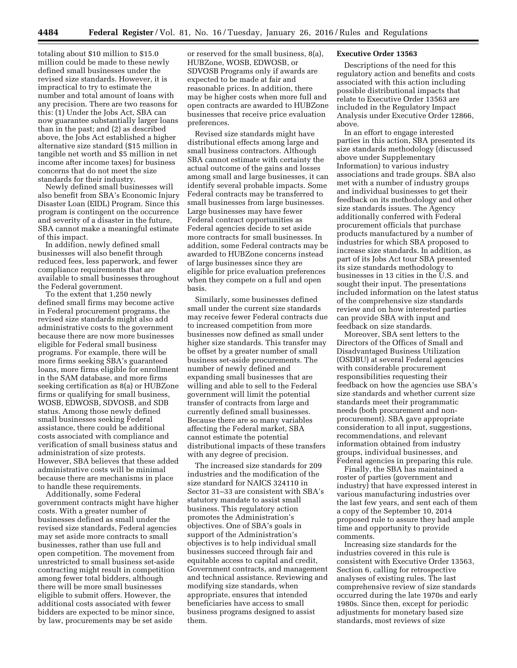totaling about \$10 million to \$15.0 million could be made to these newly defined small businesses under the revised size standards. However, it is impractical to try to estimate the number and total amount of loans with any precision. There are two reasons for this: (1) Under the Jobs Act, SBA can now guarantee substantially larger loans than in the past; and (2) as described above, the Jobs Act established a higher alternative size standard (\$15 million in tangible net worth and \$5 million in net income after income taxes) for business concerns that do not meet the size standards for their industry.

Newly defined small businesses will also benefit from SBA's Economic Injury Disaster Loan (EIDL) Program. Since this program is contingent on the occurrence and severity of a disaster in the future, SBA cannot make a meaningful estimate of this impact.

In addition, newly defined small businesses will also benefit through reduced fees, less paperwork, and fewer compliance requirements that are available to small businesses throughout the Federal government.

To the extent that 1,250 newly defined small firms may become active in Federal procurement programs, the revised size standards might also add administrative costs to the government because there are now more businesses eligible for Federal small business programs. For example, there will be more firms seeking SBA's guaranteed loans, more firms eligible for enrollment in the SAM database, and more firms seeking certification as 8(a) or HUBZone firms or qualifying for small business, WOSB, EDWOSB, SDVOSB, and SDB status. Among those newly defined small businesses seeking Federal assistance, there could be additional costs associated with compliance and verification of small business status and administration of size protests. However, SBA believes that these added administrative costs will be minimal because there are mechanisms in place to handle these requirements.

Additionally, some Federal government contracts might have higher costs. With a greater number of businesses defined as small under the revised size standards, Federal agencies may set aside more contracts to small businesses, rather than use full and open competition. The movement from unrestricted to small business set-aside contracting might result in competition among fewer total bidders, although there will be more small businesses eligible to submit offers. However, the additional costs associated with fewer bidders are expected to be minor since, by law, procurements may be set aside

or reserved for the small business, 8(a), HUBZone, WOSB, EDWOSB, or SDVOSB Programs only if awards are expected to be made at fair and reasonable prices. In addition, there may be higher costs when more full and open contracts are awarded to HUBZone businesses that receive price evaluation preferences.

Revised size standards might have distributional effects among large and small business contractors. Although SBA cannot estimate with certainty the actual outcome of the gains and losses among small and large businesses, it can identify several probable impacts. Some Federal contracts may be transferred to small businesses from large businesses. Large businesses may have fewer Federal contract opportunities as Federal agencies decide to set aside more contracts for small businesses. In addition, some Federal contracts may be awarded to HUBZone concerns instead of large businesses since they are eligible for price evaluation preferences when they compete on a full and open basis.

Similarly, some businesses defined small under the current size standards may receive fewer Federal contracts due to increased competition from more businesses now defined as small under higher size standards. This transfer may be offset by a greater number of small business set-aside procurements. The number of newly defined and expanding small businesses that are willing and able to sell to the Federal government will limit the potential transfer of contracts from large and currently defined small businesses. Because there are so many variables affecting the Federal market, SBA cannot estimate the potential distributional impacts of these transfers with any degree of precision.

The increased size standards for 209 industries and the modification of the size standard for NAICS 324110 in Sector 31–33 are consistent with SBA's statutory mandate to assist small business. This regulatory action promotes the Administration's objectives. One of SBA's goals in support of the Administration's objectives is to help individual small businesses succeed through fair and equitable access to capital and credit, Government contracts, and management and technical assistance. Reviewing and modifying size standards, when appropriate, ensures that intended beneficiaries have access to small business programs designed to assist them.

## **Executive Order 13563**

Descriptions of the need for this regulatory action and benefits and costs associated with this action including possible distributional impacts that relate to Executive Order 13563 are included in the Regulatory Impact Analysis under Executive Order 12866, above.

In an effort to engage interested parties in this action, SBA presented its size standards methodology (discussed above under Supplementary Information) to various industry associations and trade groups. SBA also met with a number of industry groups and individual businesses to get their feedback on its methodology and other size standards issues. The Agency additionally conferred with Federal procurement officials that purchase products manufactured by a number of industries for which SBA proposed to increase size standards. In addition, as part of its Jobs Act tour SBA presented its size standards methodology to businesses in 13 cities in the U.S. and sought their input. The presentations included information on the latest status of the comprehensive size standards review and on how interested parties can provide SBA with input and feedback on size standards.

Moreover, SBA sent letters to the Directors of the Offices of Small and Disadvantaged Business Utilization (OSDBU) at several Federal agencies with considerable procurement responsibilities requesting their feedback on how the agencies use SBA's size standards and whether current size standards meet their programmatic needs (both procurement and nonprocurement). SBA gave appropriate consideration to all input, suggestions, recommendations, and relevant information obtained from industry groups, individual businesses, and Federal agencies in preparing this rule.

Finally, the SBA has maintained a roster of parties (government and industry) that have expressed interest in various manufacturing industries over the last few years, and sent each of them a copy of the September 10, 2014 proposed rule to assure they had ample time and opportunity to provide comments.

Increasing size standards for the industries covered in this rule is consistent with Executive Order 13563, Section 6, calling for retrospective analyses of existing rules. The last comprehensive review of size standards occurred during the late 1970s and early 1980s. Since then, except for periodic adjustments for monetary based size standards, most reviews of size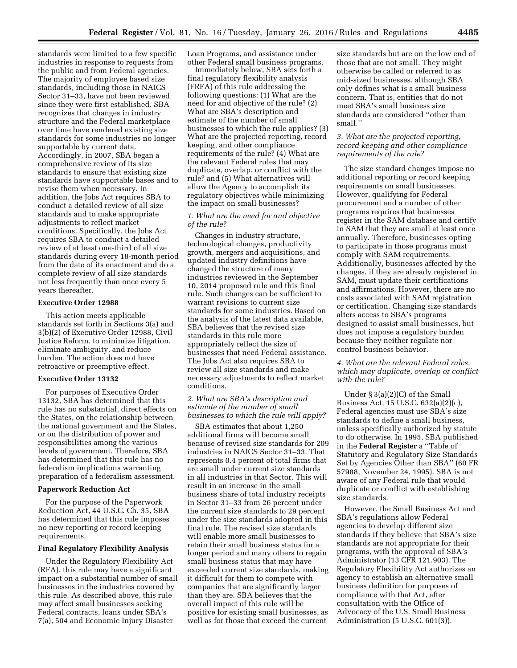standards were limited to a few specific industries in response to requests from the public and from Federal agencies. The majority of employee based size standards, including those in NAICS Sector 31–33, have not been reviewed since they were first established. SBA recognizes that changes in industry structure and the Federal marketplace over time have rendered existing size standards for some industries no longer supportable by current data. Accordingly, in 2007, SBA began a comprehensive review of its size standards to ensure that existing size standards have supportable bases and to revise them when necessary. In addition, the Jobs Act requires SBA to conduct a detailed review of all size standards and to make appropriate adjustments to reflect market conditions. Specifically, the Jobs Act requires SBA to conduct a detailed review of at least one-third of all size standards during every 18-month period from the date of its enactment and do a complete review of all size standards not less frequently than once every 5 years thereafter.

### **Executive Order 12988**

This action meets applicable standards set forth in Sections 3(a) and 3(b)(2) of Executive Order 12988, Civil Justice Reform, to minimize litigation, eliminate ambiguity, and reduce burden. The action does not have retroactive or preemptive effect.

### **Executive Order 13132**

For purposes of Executive Order 13132, SBA has determined that this rule has no substantial, direct effects on the States, on the relationship between the national government and the States, or on the distribution of power and responsibilities among the various levels of government. Therefore, SBA has determined that this rule has no federalism implications warranting preparation of a federalism assessment.

#### **Paperwork Reduction Act**

For the purpose of the Paperwork Reduction Act, 44 U.S.C. Ch. 35, SBA has determined that this rule imposes no new reporting or record keeping requirements.

## **Final Regulatory Flexibility Analysis**

Under the Regulatory Flexibility Act (RFA), this rule may have a significant impact on a substantial number of small businesses in the industries covered by this rule. As described above, this rule may affect small businesses seeking Federal contracts, loans under SBA's 7(a), 504 and Economic Injury Disaster

Loan Programs, and assistance under other Federal small business programs.

Immediately below, SBA sets forth a final regulatory flexibility analysis (FRFA) of this rule addressing the following questions: (1) What are the need for and objective of the rule? (2) What are SBA's description and estimate of the number of small businesses to which the rule applies? (3) What are the projected reporting, record keeping, and other compliance requirements of the rule? (4) What are the relevant Federal rules that may duplicate, overlap, or conflict with the rule? and (5) What alternatives will allow the Agency to accomplish its regulatory objectives while minimizing the impact on small businesses?

## *1. What are the need for and objective of the rule?*

Changes in industry structure, technological changes, productivity growth, mergers and acquisitions, and updated industry definitions have changed the structure of many industries reviewed in the September 10, 2014 proposed rule and this final rule. Such changes can be sufficient to warrant revisions to current size standards for some industries. Based on the analysis of the latest data available, SBA believes that the revised size standards in this rule more appropriately reflect the size of businesses that need Federal assistance. The Jobs Act also requires SBA to review all size standards and make necessary adjustments to reflect market conditions.

## *2. What are SBA's description and estimate of the number of small businesses to which the rule will apply?*

SBA estimates that about 1,250 additional firms will become small because of revised size standards for 209 industries in NAICS Sector 31–33. That represents 0.4 percent of total firms that are small under current size standards in all industries in that Sector. This will result in an increase in the small business share of total industry receipts in Sector 31–33 from 26 percent under the current size standards to 29 percent under the size standards adopted in this final rule. The revised size standards will enable more small businesses to retain their small business status for a longer period and many others to regain small business status that may have exceeded current size standards, making it difficult for them to compete with companies that are significantly larger than they are. SBA believes that the overall impact of this rule will be positive for existing small businesses, as well as for those that exceed the current

size standards but are on the low end of those that are not small. They might otherwise be called or referred to as mid-sized businesses, although SBA only defines what is a small business concern. That is, entities that do not meet SBA's small business size standards are considered ''other than small.''

## *3. What are the projected reporting, record keeping and other compliance requirements of the rule?*

The size standard changes impose no additional reporting or record keeping requirements on small businesses. However, qualifying for Federal procurement and a number of other programs requires that businesses register in the SAM database and certify in SAM that they are small at least once annually. Therefore, businesses opting to participate in those programs must comply with SAM requirements. Additionally, businesses affected by the changes, if they are already registered in SAM, must update their certifications and affirmations. However, there are no costs associated with SAM registration or certification. Changing size standards alters access to SBA's programs designed to assist small businesses, but does not impose a regulatory burden because they neither regulate nor control business behavior.

## *4. What are the relevant Federal rules, which may duplicate, overlap or conflict with the rule?*

Under § 3(a)(2)(C) of the Small Business Act, 15 U.S.C. 632(a)(2)(c), Federal agencies must use SBA's size standards to define a small business, unless specifically authorized by statute to do otherwise. In 1995, SBA published in the **Federal Register** a ''Table of Statutory and Regulatory Size Standards Set by Agencies Other than SBA'' (60 FR 57988, November 24, 1995). SBA is not aware of any Federal rule that would duplicate or conflict with establishing size standards.

However, the Small Business Act and SBA's regulations allow Federal agencies to develop different size standards if they believe that SBA's size standards are not appropriate for their programs, with the approval of SBA's Administrator (13 CFR 121.903). The Regulatory Flexibility Act authorizes an agency to establish an alternative small business definition for purposes of compliance with that Act, after consultation with the Office of Advocacy of the U.S. Small Business Administration (5 U.S.C. 601(3)).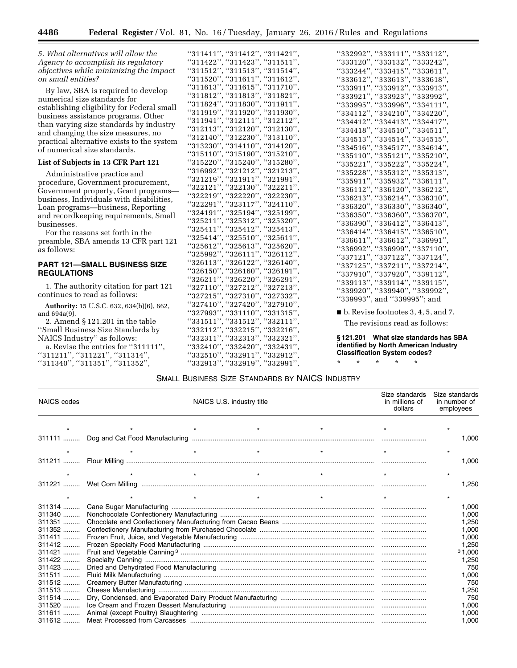*5. What alternatives will allow the Agency to accomplish its regulatory objectives while minimizing the impact on small entities?* 

By law, SBA is required to develop numerical size standards for establishing eligibility for Federal small business assistance programs. Other than varying size standards by industry and changing the size measures, no practical alternative exists to the system of numerical size standards.

## **List of Subjects in 13 CFR Part 121**

Administrative practice and procedure, Government procurement, Government property, Grant programs business, Individuals with disabilities, Loan programs—business, Reporting and recordkeeping requirements, Small businesses.

For the reasons set forth in the preamble, SBA amends 13 CFR part 121 as follows:

### **PART 121—SMALL BUSINESS SIZE REGULATIONS**

1. The authority citation for part 121 continues to read as follows:

**Authority:** 15 U.S.C. 632, 634(b)(6), 662, and 694a(9).

2. Amend § 121.201 in the table ''Small Business Size Standards by NAICS Industry'' as follows: a. Revise the entries for ''311111'',

''311211'', ''311221'', ''311314'', ''311340'', ''311351'', ''311352'',

|                                                                                                                                                                                                                                                                                                                              | "332992", "333111", "3"                                                                                                                                                                                                                                      |
|------------------------------------------------------------------------------------------------------------------------------------------------------------------------------------------------------------------------------------------------------------------------------------------------------------------------------|--------------------------------------------------------------------------------------------------------------------------------------------------------------------------------------------------------------------------------------------------------------|
|                                                                                                                                                                                                                                                                                                                              |                                                                                                                                                                                                                                                              |
|                                                                                                                                                                                                                                                                                                                              |                                                                                                                                                                                                                                                              |
|                                                                                                                                                                                                                                                                                                                              |                                                                                                                                                                                                                                                              |
| $\begin{array}{l} ``311411", ``311412", ``311421",\\ ``311422", ``311423", ``311511",\\ ``311512", ``311513", ``311514",\\ ``311520", ``311611", ``311612",\\ ``311613", ``311615", ``311710",\\ ``311824", ``311830", ``311911", \end{array}$                                                                               | $533292$ , $333111$ , $3$<br>$533244$ , $33342$ , $53$<br>$533244$ , $333415$ , $53$<br>$533911$ , $533912$ , $53$<br>$533911$ , $533923$ , $53$<br>$533921$ , $533923$ , $53$<br>$533925$ , $533995$ , $53396$ , $533995$ , $5334210$ , $534210$ , $534210$ |
|                                                                                                                                                                                                                                                                                                                              |                                                                                                                                                                                                                                                              |
|                                                                                                                                                                                                                                                                                                                              |                                                                                                                                                                                                                                                              |
| "311919", "311920", "311930",                                                                                                                                                                                                                                                                                                |                                                                                                                                                                                                                                                              |
| "311941", "312111", "312112",                                                                                                                                                                                                                                                                                                |                                                                                                                                                                                                                                                              |
| $"312113"$ , $"312120"$ , $"312130"$ ,                                                                                                                                                                                                                                                                                       |                                                                                                                                                                                                                                                              |
| "312140", "312230", "313110",                                                                                                                                                                                                                                                                                                |                                                                                                                                                                                                                                                              |
| "313230", "314110", "314120",                                                                                                                                                                                                                                                                                                |                                                                                                                                                                                                                                                              |
| "315110", "315190", "315210",                                                                                                                                                                                                                                                                                                |                                                                                                                                                                                                                                                              |
| "315220", "315240", "315280",                                                                                                                                                                                                                                                                                                |                                                                                                                                                                                                                                                              |
| "316992", "321212", "321213",                                                                                                                                                                                                                                                                                                |                                                                                                                                                                                                                                                              |
| "321219", "321911", "321991",                                                                                                                                                                                                                                                                                                |                                                                                                                                                                                                                                                              |
| "322121", "322130", "322211",                                                                                                                                                                                                                                                                                                |                                                                                                                                                                                                                                                              |
| "322219", "322220", "322230",                                                                                                                                                                                                                                                                                                |                                                                                                                                                                                                                                                              |
| "322291", "323117", "324110",                                                                                                                                                                                                                                                                                                |                                                                                                                                                                                                                                                              |
| "324191", "325194", "325199",                                                                                                                                                                                                                                                                                                |                                                                                                                                                                                                                                                              |
| "325211", "325312", "325320",                                                                                                                                                                                                                                                                                                |                                                                                                                                                                                                                                                              |
| "325411", "325412", "325413",                                                                                                                                                                                                                                                                                                |                                                                                                                                                                                                                                                              |
| "325414", "325510", "325611",                                                                                                                                                                                                                                                                                                |                                                                                                                                                                                                                                                              |
| "325612", "325613", "325620",                                                                                                                                                                                                                                                                                                |                                                                                                                                                                                                                                                              |
| "325992", "326111", "326112",                                                                                                                                                                                                                                                                                                |                                                                                                                                                                                                                                                              |
|                                                                                                                                                                                                                                                                                                                              |                                                                                                                                                                                                                                                              |
|                                                                                                                                                                                                                                                                                                                              |                                                                                                                                                                                                                                                              |
|                                                                                                                                                                                                                                                                                                                              | $339113$ ", "339114", "3                                                                                                                                                                                                                                     |
|                                                                                                                                                                                                                                                                                                                              | "339920", "339940", "3                                                                                                                                                                                                                                       |
|                                                                                                                                                                                                                                                                                                                              | "339993", and "339995                                                                                                                                                                                                                                        |
|                                                                                                                                                                                                                                                                                                                              |                                                                                                                                                                                                                                                              |
|                                                                                                                                                                                                                                                                                                                              | $\blacksquare$ b. Revise footnotes 3, 4                                                                                                                                                                                                                      |
|                                                                                                                                                                                                                                                                                                                              | The revisions read as                                                                                                                                                                                                                                        |
|                                                                                                                                                                                                                                                                                                                              |                                                                                                                                                                                                                                                              |
|                                                                                                                                                                                                                                                                                                                              | §121.201 What size stan                                                                                                                                                                                                                                      |
|                                                                                                                                                                                                                                                                                                                              | identified by North Americ                                                                                                                                                                                                                                   |
| $\begin{array}{l} ``325992", ``326111", ``326112",\\ ``326113", ``326122", ``326140",\\ ``326150", ``326160", ``326191",\\ ``326211", ``326220", ``326291",\\ ``327110", ``327212", ``327213",\\ ``327215", ``327310", ``327332",\\ ``327410", ``327420", ``327910",\\ ``327993", ``331110", ``331315",\\ ``331511", ``3315$ | <b>Classification System cod</b>                                                                                                                                                                                                                             |
|                                                                                                                                                                                                                                                                                                                              | $\star$<br>$\star$<br>$\star$ $\star$<br>$\star$                                                                                                                                                                                                             |

''332992'', ''333111'', ''333112'', ''333120'', ''333132'', ''333242'', ''333244'', ''333415'', ''333611'', ''333612'', ''333613'', ''333618'', ''333911'', ''333912'', ''333913'', ''333921'', ''333923'', ''333992'', ''333995'', ''333996'', ''334111'', ''334112'', ''334210'', ''334220'', ------ .<br>34412'', ''334413'', ''334417'', ''334418'', ''334510'', ''334511'', ''334513'', ''334514'', ''334515'', ''334516'', ''334517'', ''334614'', ''335110'', ''335121'', ''335210'', ''335221'', ''335222'', ''335224'', ''335228'', ''335312'', ''335313'', ''335911'', ''335932'', ''336111'', ''336112'', ''336120'', ''336212'',  $36213$ ", " $336214$ ", " $336310$ ", ''336320'', ''336330'', ''336340'', ''336350'', ''336360'', ''336370'', ''336390'', ''336412'', ''336413'', ''336414'', ''336415'', ''336510'', ''336611'', ''336612'', ''336991'', ''336992'', ''336999'', ''337110'', ''337121'', ''337122'', ''337124'',  $37125$ '', '' $337211$ '', '' $337214$ '' ''337910'', ''337920'', ''339112'', ''339113'', ''339114'', ''339115'', ''339920'', ''339940'', ''339992'', ''339993'', and ''339995''; and

### ■ b. Revise footnotes 3, 4, 5, and 7.

The revisions read as follows:

**§ 121.201 What size standards has SBA intified by North American Industry Classification System codes?** 

## SMALL BUSINESS SIZE STANDARDS BY NAICS INDUSTRY

| NAICS codes | NAICS U.S. industry title |         |         | Size standards<br>in millions of<br>dollars | Size standards<br>in number of<br>employees |
|-------------|---------------------------|---------|---------|---------------------------------------------|---------------------------------------------|
|             |                           | $\star$ |         |                                             |                                             |
|             |                           |         |         |                                             | 1,000                                       |
|             |                           | $\star$ |         |                                             |                                             |
|             |                           |         |         |                                             | 1,000                                       |
|             |                           |         |         |                                             | $\star$                                     |
|             |                           |         |         |                                             | 1,250                                       |
|             | $\star$                   | $\star$ | $\star$ |                                             |                                             |
| 311314      |                           |         |         |                                             | 1.000                                       |
| $311340$    |                           |         |         |                                             | 1,000                                       |
| $311351$    |                           |         |         |                                             | 1,250                                       |
|             |                           |         |         |                                             | 1,000                                       |
| $311411$    |                           |         |         |                                             | 1,000                                       |
| 311412      |                           |         |         |                                             | 1.250                                       |
| $311421$    |                           |         |         |                                             | 31,000                                      |
| 311422      |                           |         |         |                                             | 1,250                                       |
| 311423      |                           |         |         |                                             | 750                                         |
| $311511$    |                           |         |         |                                             | 1,000                                       |
| $311512$    |                           |         |         |                                             | 750                                         |
| $311513$    |                           |         |         |                                             | 1,250                                       |
| $311514$    |                           |         |         |                                             | 750                                         |
|             |                           |         |         |                                             | 1,000                                       |
| 311611      |                           |         |         |                                             | 1,000                                       |
|             |                           |         |         |                                             | 1,000                                       |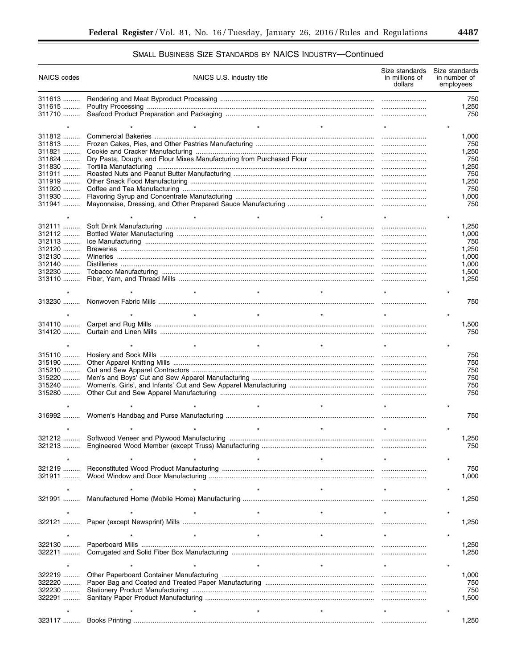$\equiv$ 

# SMALL BUSINESS SIZE STANDARDS BY NAICS INDUSTRY-Continued

| NAICS codes      | NAICS U.S. industry title | Size standards<br>in millions of<br>dollars | Size standards<br>in number of<br>employees |
|------------------|---------------------------|---------------------------------------------|---------------------------------------------|
| 311613           |                           |                                             | 750                                         |
| 311615           |                           |                                             | 1,250                                       |
| 311710           |                           |                                             | 750                                         |
|                  | $\star$                   |                                             |                                             |
| $311812$         |                           |                                             | 1,000                                       |
| $311813$         |                           |                                             | 750                                         |
| 311821           |                           |                                             | 1,250                                       |
| 311824           |                           |                                             | 750                                         |
| 311830           |                           |                                             | 1,250                                       |
| 311911<br>311919 |                           |                                             | 750                                         |
| 311920           |                           |                                             | 1,250<br>750                                |
| 311930           |                           |                                             | 1,000                                       |
| 311941           |                           |                                             | 750                                         |
|                  |                           |                                             |                                             |
|                  |                           |                                             |                                             |
| 312111<br>312112 |                           |                                             | 1,250<br>1,000                              |
| 312113           |                           |                                             | 750                                         |
| $312120$         |                           |                                             | 1,250                                       |
| 312130           |                           |                                             | 1,000                                       |
| $312140$         |                           |                                             | 1,000                                       |
| 312230           |                           |                                             | 1,500                                       |
| 313110           |                           |                                             | 1,250                                       |
|                  | $\star$                   |                                             |                                             |
|                  |                           |                                             | 750                                         |
|                  |                           |                                             |                                             |
|                  | $\star$<br>$\star$        |                                             |                                             |
|                  |                           |                                             | 1,500                                       |
|                  |                           |                                             | 750                                         |
|                  | $\star$                   |                                             |                                             |
| 315110           |                           |                                             | 750                                         |
| 315190           |                           |                                             | 750                                         |
| 315210           |                           |                                             | 750                                         |
| 315220           |                           |                                             | 750                                         |
| 315240           |                           |                                             | 750                                         |
|                  |                           |                                             | 750                                         |
|                  | $\star$<br>$\star$        |                                             |                                             |
|                  |                           |                                             | 750                                         |
|                  |                           |                                             |                                             |
|                  |                           |                                             |                                             |
|                  |                           |                                             | 1,250                                       |
| 321213           |                           |                                             | 750                                         |
|                  |                           |                                             |                                             |
| 321219           |                           |                                             | 750                                         |
| 321911           |                           |                                             | 1,000                                       |
|                  |                           |                                             |                                             |
|                  |                           |                                             |                                             |
| 321991           |                           |                                             | 1,250                                       |
|                  | $\star$                   |                                             |                                             |
| 322121           |                           |                                             | 1,250                                       |
|                  |                           |                                             |                                             |
|                  | $\ddot{\phantom{0}}$      |                                             |                                             |
| 322130           |                           |                                             | 1,250                                       |
| 322211           |                           |                                             | 1,250                                       |
|                  |                           |                                             |                                             |
| 322219           |                           |                                             | 1,000                                       |
| 322220           |                           |                                             | 750                                         |
| 322230           |                           |                                             | 750                                         |
| 322291           |                           |                                             | 1,500                                       |
|                  |                           |                                             |                                             |
|                  |                           |                                             |                                             |
|                  |                           |                                             | 1,250                                       |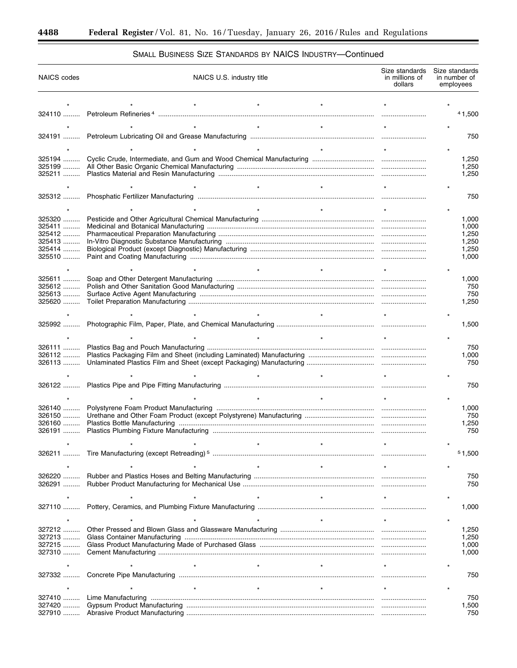۳

# SMALL BUSINESS SIZE STANDARDS BY NAICS INDUSTRY—Continued

| <b>NAICS</b> codes   | NAICS U.S. industry title | Size standards<br>in millions of<br>dollars | Size standards<br>in number of<br>employees |
|----------------------|---------------------------|---------------------------------------------|---------------------------------------------|
|                      |                           |                                             |                                             |
|                      |                           |                                             | 41,500                                      |
|                      |                           |                                             |                                             |
|                      |                           |                                             |                                             |
|                      |                           |                                             | 750                                         |
|                      |                           |                                             |                                             |
| 325194               |                           |                                             | 1,250                                       |
|                      |                           |                                             | 1,250                                       |
|                      |                           |                                             | 1,250                                       |
|                      |                           |                                             |                                             |
|                      |                           |                                             | 750                                         |
|                      |                           |                                             |                                             |
| 325320               |                           |                                             | 1,000                                       |
| $325411$             |                           |                                             | 1,000                                       |
| 325412               |                           |                                             | 1,250                                       |
| 325413<br>325414     |                           |                                             | 1,250<br>1,250                              |
| 325510               |                           |                                             | 1.000                                       |
|                      |                           |                                             |                                             |
| 325611               |                           |                                             |                                             |
| $325612$             |                           |                                             | 1,000<br>750                                |
| 325613               |                           |                                             | 750                                         |
| 325620               |                           |                                             | 1,250                                       |
|                      |                           |                                             |                                             |
| 325992               |                           |                                             | 1,500                                       |
|                      |                           |                                             |                                             |
|                      |                           |                                             |                                             |
| 326111<br>$326112$   |                           |                                             | 750<br>1,000                                |
| 326113               |                           |                                             | 750                                         |
|                      |                           |                                             |                                             |
|                      |                           |                                             | 750                                         |
| 326122               |                           |                                             |                                             |
|                      |                           |                                             |                                             |
| 326140               |                           |                                             | 1,000                                       |
| $326150$<br>$326160$ |                           |                                             | 750                                         |
|                      |                           |                                             | 1,250<br>750                                |
|                      |                           |                                             |                                             |
|                      |                           |                                             |                                             |
| 326211               |                           |                                             | 51,500                                      |
|                      |                           |                                             |                                             |
| 326220               |                           |                                             | 750                                         |
| 326291               |                           |                                             | 750                                         |
|                      |                           |                                             |                                             |
| $327110$             |                           |                                             | 1,000                                       |
|                      |                           |                                             |                                             |
|                      |                           |                                             |                                             |
| 327212<br>327213     |                           |                                             | 1,250<br>1,250                              |
| 327215               |                           |                                             | 1,000                                       |
| 327310               |                           |                                             | 1,000                                       |
|                      |                           |                                             |                                             |
|                      |                           |                                             | 750                                         |
|                      |                           |                                             |                                             |
|                      |                           |                                             |                                             |
| 327410               |                           |                                             | 750                                         |
| 327420<br>327910     |                           |                                             | 1,500<br>750                                |
|                      |                           |                                             |                                             |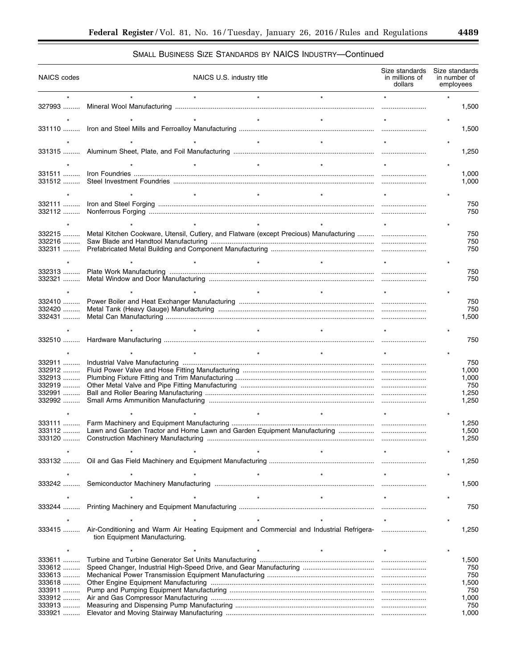▀

# SMALL BUSINESS SIZE STANDARDS BY NAICS INDUSTRY—Continued

| NAICS codes        |                                                                                                                           | NAICS U.S. industry title |                      |                      | Size standards Size standards<br>in millions of<br>dollars | in number of<br>employees |              |
|--------------------|---------------------------------------------------------------------------------------------------------------------------|---------------------------|----------------------|----------------------|------------------------------------------------------------|---------------------------|--------------|
|                    |                                                                                                                           |                           | $\ddot{\phantom{0}}$ |                      |                                                            |                           |              |
|                    |                                                                                                                           |                           |                      |                      |                                                            |                           | 1,500        |
|                    |                                                                                                                           |                           | $\star$              |                      |                                                            |                           |              |
|                    |                                                                                                                           |                           |                      |                      |                                                            |                           | 1,500        |
|                    |                                                                                                                           |                           |                      |                      |                                                            |                           |              |
|                    |                                                                                                                           |                           | $\ddot{\phantom{0}}$ | $\ddot{\phantom{0}}$ |                                                            |                           |              |
|                    |                                                                                                                           |                           |                      |                      |                                                            |                           | 1,250        |
|                    |                                                                                                                           |                           | $\star$              | $\star$              |                                                            |                           |              |
| 331511             |                                                                                                                           |                           |                      |                      |                                                            |                           | 1,000        |
|                    |                                                                                                                           |                           |                      |                      |                                                            |                           | 1,000        |
|                    |                                                                                                                           |                           | $\star$              |                      |                                                            |                           |              |
|                    |                                                                                                                           |                           |                      |                      |                                                            |                           | 750          |
| 332112             |                                                                                                                           |                           |                      |                      |                                                            |                           | 750          |
|                    |                                                                                                                           |                           |                      |                      |                                                            |                           |              |
| 332215             |                                                                                                                           |                           |                      |                      |                                                            |                           | 750          |
| 332216             |                                                                                                                           |                           |                      |                      |                                                            |                           | 750          |
|                    |                                                                                                                           |                           |                      |                      |                                                            |                           | 750          |
|                    |                                                                                                                           |                           | $\star$              | $\star$              |                                                            |                           |              |
| 332313             |                                                                                                                           |                           |                      |                      |                                                            |                           | 750          |
| 332321             |                                                                                                                           |                           |                      |                      |                                                            |                           | 750          |
|                    |                                                                                                                           |                           | $\star$              | $\star$              |                                                            |                           |              |
| 332410             |                                                                                                                           |                           |                      |                      |                                                            |                           | 750          |
| 332420             |                                                                                                                           |                           |                      |                      |                                                            |                           | 750          |
| 332431             |                                                                                                                           |                           |                      |                      |                                                            |                           | 1,500        |
|                    |                                                                                                                           |                           |                      |                      |                                                            |                           |              |
|                    |                                                                                                                           |                           |                      |                      |                                                            |                           | 750          |
|                    |                                                                                                                           | $\star$                   | $\star$              |                      |                                                            |                           |              |
|                    |                                                                                                                           |                           |                      |                      |                                                            |                           |              |
| 332911<br>332912   |                                                                                                                           |                           |                      |                      |                                                            |                           | 750<br>1,000 |
| 332913             |                                                                                                                           |                           |                      |                      |                                                            |                           | 1,000        |
| 332919             |                                                                                                                           |                           |                      |                      |                                                            |                           | 750          |
| 332991             |                                                                                                                           |                           |                      |                      |                                                            |                           | 1,250        |
| $332992$           |                                                                                                                           |                           |                      |                      |                                                            |                           | 1,250        |
|                    |                                                                                                                           |                           | $\star$              | $\star$              |                                                            |                           |              |
| $333111$           |                                                                                                                           |                           |                      |                      |                                                            |                           | 1,250        |
| 333112             |                                                                                                                           |                           |                      |                      |                                                            |                           | 1,500        |
| 333120             |                                                                                                                           |                           |                      |                      |                                                            |                           | 1,250        |
|                    |                                                                                                                           |                           |                      |                      |                                                            |                           |              |
|                    |                                                                                                                           |                           |                      |                      |                                                            |                           | 1,250        |
|                    |                                                                                                                           |                           |                      |                      |                                                            |                           |              |
| $333242$           |                                                                                                                           |                           |                      |                      |                                                            |                           | 1,500        |
|                    |                                                                                                                           |                           |                      |                      |                                                            |                           |              |
|                    |                                                                                                                           |                           |                      |                      |                                                            |                           |              |
| $333244$           |                                                                                                                           |                           |                      |                      |                                                            |                           | 750          |
|                    |                                                                                                                           |                           |                      |                      |                                                            |                           |              |
| 333415             | Air-Conditioning and Warm Air Heating Equipment and Commercial and Industrial Refrigera-<br>tion Equipment Manufacturing. |                           |                      |                      |                                                            |                           | 1,250        |
|                    |                                                                                                                           |                           |                      |                      |                                                            |                           |              |
| 333611             |                                                                                                                           |                           |                      |                      |                                                            |                           |              |
| 333612             |                                                                                                                           |                           |                      |                      |                                                            |                           | 1,500<br>750 |
| $333613$           |                                                                                                                           |                           |                      |                      |                                                            |                           | 750          |
| 333618             |                                                                                                                           |                           |                      |                      |                                                            |                           | 1,500        |
| 333911             |                                                                                                                           |                           |                      |                      |                                                            |                           | 750          |
| 333912<br>$333913$ |                                                                                                                           |                           |                      |                      |                                                            |                           | 1,000<br>750 |
| 333921             |                                                                                                                           |                           |                      |                      |                                                            |                           | 1,000        |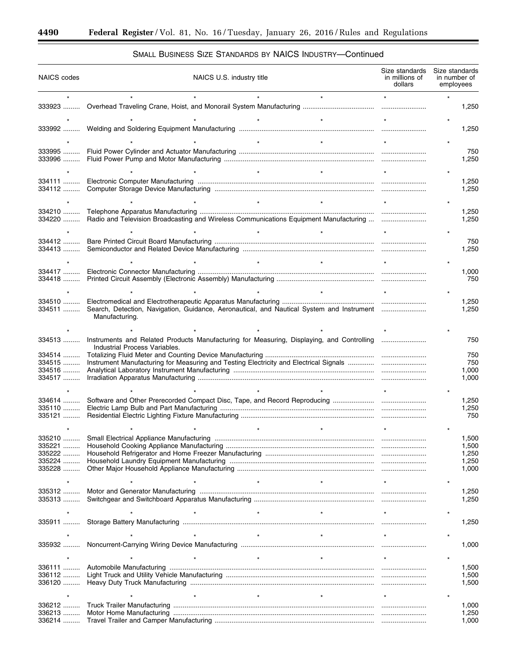۳

| <b>NAICS</b> codes |                                                                                                                            | NAICS U.S. industry title |         | Size standards<br>in millions of<br>dollars | Size standards | in number of<br>employees |
|--------------------|----------------------------------------------------------------------------------------------------------------------------|---------------------------|---------|---------------------------------------------|----------------|---------------------------|
|                    |                                                                                                                            |                           |         |                                             |                |                           |
|                    |                                                                                                                            |                           |         |                                             |                | 1,250                     |
|                    |                                                                                                                            |                           |         |                                             |                |                           |
|                    |                                                                                                                            |                           |         |                                             |                | 1,250                     |
|                    |                                                                                                                            |                           |         |                                             |                |                           |
| 333995             |                                                                                                                            |                           |         |                                             |                | 750                       |
| 333996             |                                                                                                                            |                           |         |                                             |                | 1,250                     |
|                    |                                                                                                                            |                           |         |                                             |                |                           |
| 334111             |                                                                                                                            |                           |         |                                             |                | 1,250                     |
| 334112             |                                                                                                                            |                           |         |                                             |                | 1,250                     |
|                    |                                                                                                                            |                           |         |                                             |                |                           |
| 334210             |                                                                                                                            |                           |         |                                             |                | 1,250                     |
| 334220             | Radio and Television Broadcasting and Wireless Communications Equipment Manufacturing                                      |                           |         |                                             |                | 1,250                     |
|                    |                                                                                                                            |                           |         |                                             |                |                           |
| 334412             |                                                                                                                            |                           |         |                                             |                | 750                       |
| 334413             |                                                                                                                            |                           |         |                                             |                | 1,250                     |
|                    |                                                                                                                            |                           |         |                                             |                |                           |
| 334417             |                                                                                                                            |                           |         |                                             |                | 1,000                     |
| 334418             |                                                                                                                            |                           |         |                                             |                | 750                       |
|                    |                                                                                                                            |                           |         |                                             |                |                           |
| 334510             |                                                                                                                            |                           |         |                                             |                | 1,250                     |
| 334511             | Search, Detection, Navigation, Guidance, Aeronautical, and Nautical System and Instrument<br>Manufacturing.                |                           |         |                                             |                | 1,250                     |
|                    |                                                                                                                            |                           |         |                                             |                |                           |
| 334513             | Instruments and Related Products Manufacturing for Measuring, Displaying, and Controlling<br>Industrial Process Variables. |                           |         |                                             |                | 750                       |
| 334514             |                                                                                                                            |                           |         |                                             |                | 750                       |
| 334515<br>334516   |                                                                                                                            |                           |         |                                             |                | 750<br>1,000              |
| 334517             |                                                                                                                            |                           |         |                                             |                | 1,000                     |
|                    |                                                                                                                            |                           |         |                                             |                |                           |
| 334614<br>335110   |                                                                                                                            |                           |         |                                             |                | 1,250                     |
| 335121             |                                                                                                                            |                           |         |                                             |                | 1,250<br>750              |
|                    |                                                                                                                            |                           |         |                                             |                |                           |
| 335210             |                                                                                                                            |                           |         |                                             |                |                           |
| 335221             | Small Electrical Appliance Manufacturing                                                                                   |                           |         |                                             |                | 1,500<br>1,500            |
| 335222             |                                                                                                                            |                           |         |                                             |                | 1,250                     |
| 335224<br>335228   |                                                                                                                            |                           |         |                                             |                | 1,250<br>1,000            |
|                    |                                                                                                                            |                           |         |                                             |                |                           |
|                    |                                                                                                                            |                           |         |                                             |                |                           |
| 335312<br>335313   |                                                                                                                            |                           |         |                                             |                | 1,250<br>1,250            |
|                    |                                                                                                                            |                           | $\star$ |                                             |                |                           |
| 335911             |                                                                                                                            |                           |         |                                             |                | 1,250                     |
|                    |                                                                                                                            |                           |         |                                             |                |                           |
| 335932             |                                                                                                                            |                           |         |                                             |                | 1,000                     |
|                    |                                                                                                                            |                           | $\star$ |                                             |                |                           |
| 336111             |                                                                                                                            |                           |         |                                             |                |                           |
| 336112             |                                                                                                                            |                           |         |                                             |                | 1,500<br>1,500            |
| 336120             |                                                                                                                            |                           |         |                                             |                | 1,500                     |
|                    |                                                                                                                            |                           |         |                                             |                |                           |
| 336212             |                                                                                                                            |                           |         |                                             |                | 1,000                     |
| 336213             |                                                                                                                            |                           |         |                                             |                | 1,250                     |
| 336214             |                                                                                                                            |                           |         |                                             |                | 1,000                     |

# SMALL BUSINESS SIZE STANDARDS BY NAICS INDUSTRY—Continued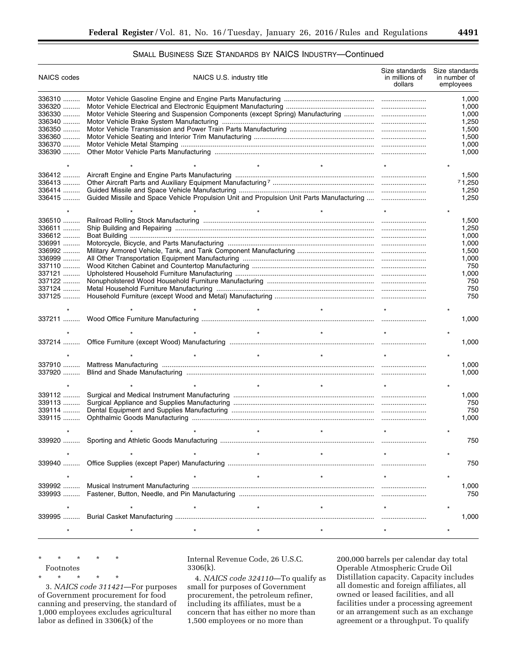## SMALL BUSINESS SIZE STANDARDS BY NAICS INDUSTRY—Continued

| <b>NAICS</b> codes | NAICS U.S. industry title | Size standards<br>in millions of<br>dollars | Size standards<br>in number of<br>employees |
|--------------------|---------------------------|---------------------------------------------|---------------------------------------------|
| 336310             |                           |                                             | 1,000                                       |
| 336320             |                           |                                             | 1,000                                       |
| 336330             |                           |                                             | 1,000                                       |
| 336340             |                           |                                             | 1,250                                       |
| 336350             |                           |                                             | 1,500                                       |
|                    |                           |                                             |                                             |
| 336360             |                           |                                             | 1,500                                       |
| 336370             |                           |                                             | 1,000                                       |
| 336390             |                           |                                             | 1,000                                       |
|                    | $\star$                   |                                             |                                             |
| 336412             |                           |                                             | 1,500                                       |
| $336413$           |                           |                                             | 71,250                                      |
| 336414             |                           |                                             | 1,250                                       |
| 336415             |                           |                                             | 1,250                                       |
|                    |                           |                                             |                                             |
|                    |                           |                                             |                                             |
| 336510             |                           |                                             | 1,500                                       |
| 336611             |                           |                                             | 1,250                                       |
| $336612$           |                           |                                             | 1,000                                       |
| 336991             |                           |                                             | 1,000                                       |
| 336992             |                           |                                             | 1,500                                       |
| 336999             |                           |                                             | 1,000                                       |
| 337110             |                           |                                             | 750                                         |
| 337121             |                           |                                             | 1,000                                       |
| $337122$           |                           |                                             | 750                                         |
| 337124             |                           |                                             | 750                                         |
| 337125             |                           |                                             | 750                                         |
|                    |                           |                                             |                                             |
|                    |                           |                                             | 1,000                                       |
|                    |                           |                                             |                                             |
|                    | $\star$                   |                                             |                                             |
|                    |                           |                                             | 1,000                                       |
|                    | $\star$<br>$\star$        |                                             |                                             |
| 337910             |                           |                                             | 1,000                                       |
| 337920             |                           |                                             | 1,000                                       |
|                    |                           |                                             |                                             |
|                    | $\star$<br>$\star$        |                                             |                                             |
| 339112             |                           |                                             | 1,000                                       |
| 339113             |                           |                                             | 750                                         |
| 339114             |                           |                                             | 750                                         |
| 339115             |                           |                                             | 1,000                                       |
|                    |                           |                                             |                                             |
| 339920             |                           |                                             | 750                                         |
|                    |                           |                                             |                                             |
|                    |                           |                                             |                                             |
| 339940             |                           |                                             | 750                                         |
|                    |                           |                                             |                                             |
|                    |                           |                                             |                                             |
| 339992<br>339993   |                           |                                             | 1,000<br>750                                |
|                    |                           |                                             |                                             |
|                    |                           |                                             |                                             |
|                    |                           |                                             | 1,000                                       |
|                    |                           |                                             |                                             |
|                    |                           |                                             |                                             |

\* \* \* \* \* Footnotes

\* \* \* \* \*

3. *NAICS code 311421*—For purposes of Government procurement for food canning and preserving, the standard of 1,000 employees excludes agricultural labor as defined in 3306(k) of the

Internal Revenue Code, 26 U.S.C. 3306(k).

4. *NAICS code 324110*—To qualify as small for purposes of Government procurement, the petroleum refiner, including its affiliates, must be a concern that has either no more than 1,500 employees or no more than

200,000 barrels per calendar day total Operable Atmospheric Crude Oil Distillation capacity. Capacity includes all domestic and foreign affiliates, all owned or leased facilities, and all facilities under a processing agreement or an arrangement such as an exchange agreement or a throughput. To qualify